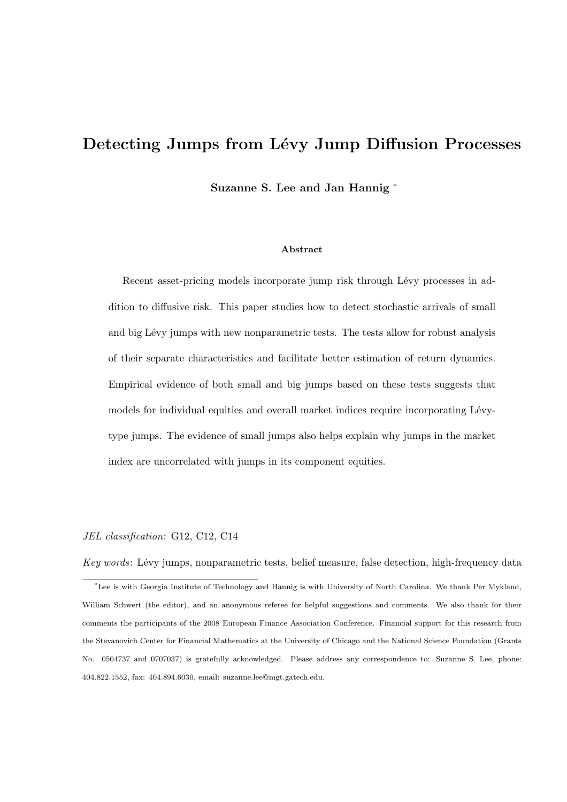# Detecting Jumps from Lévy Jump Diffusion Processes

Suzanne S. Lee and Jan Hannig <sup>∗</sup>

#### Abstract

Recent asset-pricing models incorporate jump risk through Lévy processes in addition to diffusive risk. This paper studies how to detect stochastic arrivals of small and big Lévy jumps with new nonparametric tests. The tests allow for robust analysis of their separate characteristics and facilitate better estimation of return dynamics. Empirical evidence of both small and big jumps based on these tests suggests that models for individual equities and overall market indices require incorporating Lévytype jumps. The evidence of small jumps also helps explain why jumps in the market index are uncorrelated with jumps in its component equities.

#### JEL classification: G12, C12, C14

Key words: Lévy jumps, nonparametric tests, belief measure, false detection, high-frequency data

<sup>∗</sup>Lee is with Georgia Institute of Technology and Hannig is with University of North Carolina. We thank Per Mykland, William Schwert (the editor), and an anonymous referee for helpful suggestions and comments. We also thank for their comments the participants of the 2008 European Finance Association Conference. Financial support for this research from the Stevanovich Center for Financial Mathematics at the University of Chicago and the National Science Foundation (Grants No. 0504737 and 0707037) is gratefully acknowledged. Please address any correspondence to: Suzanne S. Lee, phone: 404.822.1552, fax: 404.894.6030, email: suzanne.lee@mgt.gatech.edu.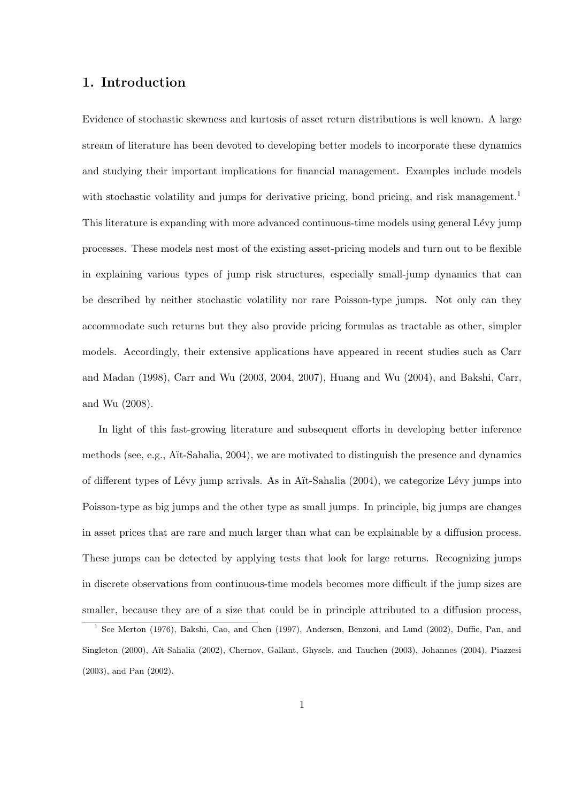# 1. Introduction

Evidence of stochastic skewness and kurtosis of asset return distributions is well known. A large stream of literature has been devoted to developing better models to incorporate these dynamics and studying their important implications for financial management. Examples include models with stochastic volatility and jumps for derivative pricing, bond pricing, and risk management.<sup>1</sup> This literature is expanding with more advanced continuous-time models using general Lévy jump processes. These models nest most of the existing asset-pricing models and turn out to be flexible in explaining various types of jump risk structures, especially small-jump dynamics that can be described by neither stochastic volatility nor rare Poisson-type jumps. Not only can they accommodate such returns but they also provide pricing formulas as tractable as other, simpler models. Accordingly, their extensive applications have appeared in recent studies such as Carr and Madan (1998), Carr and Wu (2003, 2004, 2007), Huang and Wu (2004), and Bakshi, Carr, and Wu (2008).

In light of this fast-growing literature and subsequent efforts in developing better inference methods (see, e.g., A¨ıt-Sahalia, 2004), we are motivated to distinguish the presence and dynamics of different types of Lévy jump arrivals. As in Aït-Sahalia (2004), we categorize Lévy jumps into Poisson-type as big jumps and the other type as small jumps. In principle, big jumps are changes in asset prices that are rare and much larger than what can be explainable by a diffusion process. These jumps can be detected by applying tests that look for large returns. Recognizing jumps in discrete observations from continuous-time models becomes more difficult if the jump sizes are smaller, because they are of a size that could be in principle attributed to a diffusion process,

<sup>1</sup> See Merton (1976), Bakshi, Cao, and Chen (1997), Andersen, Benzoni, and Lund (2002), Duffie, Pan, and Singleton (2000), Aït-Sahalia (2002), Chernov, Gallant, Ghysels, and Tauchen (2003), Johannes (2004), Piazzesi (2003), and Pan (2002).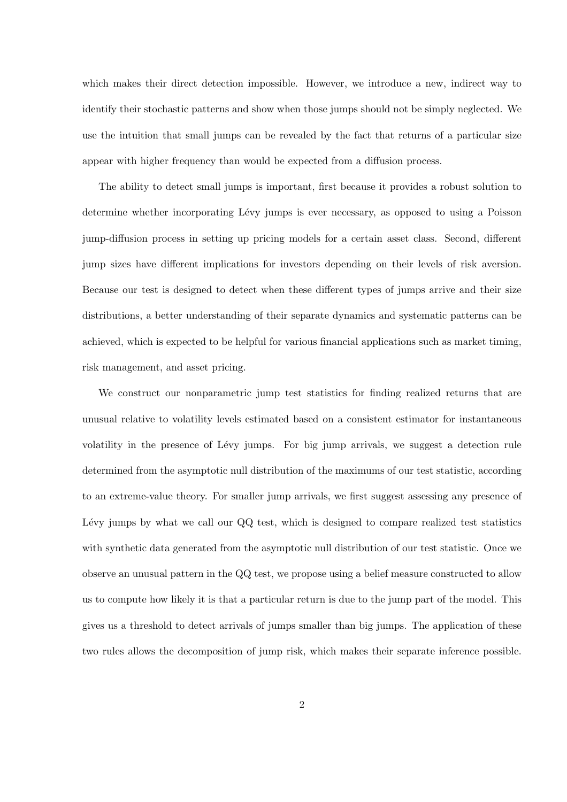which makes their direct detection impossible. However, we introduce a new, indirect way to identify their stochastic patterns and show when those jumps should not be simply neglected. We use the intuition that small jumps can be revealed by the fact that returns of a particular size appear with higher frequency than would be expected from a diffusion process.

The ability to detect small jumps is important, first because it provides a robust solution to determine whether incorporating Lévy jumps is ever necessary, as opposed to using a Poisson jump-diffusion process in setting up pricing models for a certain asset class. Second, different jump sizes have different implications for investors depending on their levels of risk aversion. Because our test is designed to detect when these different types of jumps arrive and their size distributions, a better understanding of their separate dynamics and systematic patterns can be achieved, which is expected to be helpful for various financial applications such as market timing, risk management, and asset pricing.

We construct our nonparametric jump test statistics for finding realized returns that are unusual relative to volatility levels estimated based on a consistent estimator for instantaneous volatility in the presence of Lévy jumps. For big jump arrivals, we suggest a detection rule determined from the asymptotic null distribution of the maximums of our test statistic, according to an extreme-value theory. For smaller jump arrivals, we first suggest assessing any presence of Lévy jumps by what we call our QQ test, which is designed to compare realized test statistics with synthetic data generated from the asymptotic null distribution of our test statistic. Once we observe an unusual pattern in the QQ test, we propose using a belief measure constructed to allow us to compute how likely it is that a particular return is due to the jump part of the model. This gives us a threshold to detect arrivals of jumps smaller than big jumps. The application of these two rules allows the decomposition of jump risk, which makes their separate inference possible.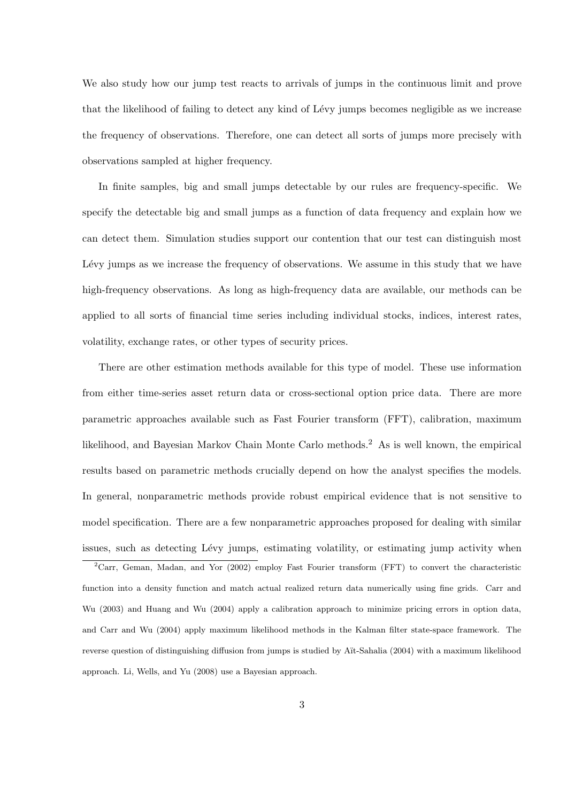We also study how our jump test reacts to arrivals of jumps in the continuous limit and prove that the likelihood of failing to detect any kind of Lévy jumps becomes negligible as we increase the frequency of observations. Therefore, one can detect all sorts of jumps more precisely with observations sampled at higher frequency.

In finite samples, big and small jumps detectable by our rules are frequency-specific. We specify the detectable big and small jumps as a function of data frequency and explain how we can detect them. Simulation studies support our contention that our test can distinguish most Lévy jumps as we increase the frequency of observations. We assume in this study that we have high-frequency observations. As long as high-frequency data are available, our methods can be applied to all sorts of financial time series including individual stocks, indices, interest rates, volatility, exchange rates, or other types of security prices.

There are other estimation methods available for this type of model. These use information from either time-series asset return data or cross-sectional option price data. There are more parametric approaches available such as Fast Fourier transform (FFT), calibration, maximum likelihood, and Bayesian Markov Chain Monte Carlo methods.<sup>2</sup> As is well known, the empirical results based on parametric methods crucially depend on how the analyst specifies the models. In general, nonparametric methods provide robust empirical evidence that is not sensitive to model specification. There are a few nonparametric approaches proposed for dealing with similar issues, such as detecting Lévy jumps, estimating volatility, or estimating jump activity when

<sup>2</sup>Carr, Geman, Madan, and Yor (2002) employ Fast Fourier transform (FFT) to convert the characteristic function into a density function and match actual realized return data numerically using fine grids. Carr and Wu (2003) and Huang and Wu (2004) apply a calibration approach to minimize pricing errors in option data, and Carr and Wu (2004) apply maximum likelihood methods in the Kalman filter state-space framework. The reverse question of distinguishing diffusion from jumps is studied by Aït-Sahalia (2004) with a maximum likelihood approach. Li, Wells, and Yu (2008) use a Bayesian approach.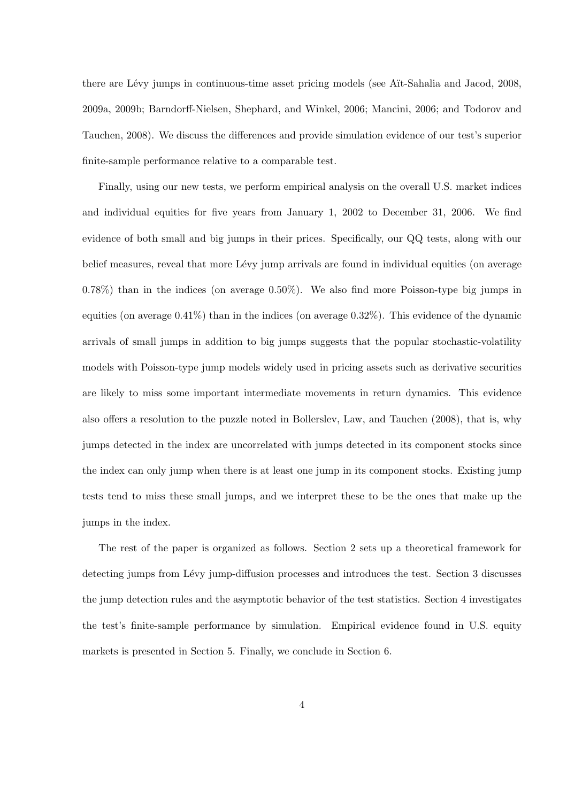there are Lévy jumps in continuous-time asset pricing models (see Aït-Sahalia and Jacod, 2008, 2009a, 2009b; Barndorff-Nielsen, Shephard, and Winkel, 2006; Mancini, 2006; and Todorov and Tauchen, 2008). We discuss the differences and provide simulation evidence of our test's superior finite-sample performance relative to a comparable test.

Finally, using our new tests, we perform empirical analysis on the overall U.S. market indices and individual equities for five years from January 1, 2002 to December 31, 2006. We find evidence of both small and big jumps in their prices. Specifically, our QQ tests, along with our belief measures, reveal that more Lévy jump arrivals are found in individual equities (on average 0.78%) than in the indices (on average 0.50%). We also find more Poisson-type big jumps in equities (on average  $0.41\%$ ) than in the indices (on average  $0.32\%$ ). This evidence of the dynamic arrivals of small jumps in addition to big jumps suggests that the popular stochastic-volatility models with Poisson-type jump models widely used in pricing assets such as derivative securities are likely to miss some important intermediate movements in return dynamics. This evidence also offers a resolution to the puzzle noted in Bollerslev, Law, and Tauchen (2008), that is, why jumps detected in the index are uncorrelated with jumps detected in its component stocks since the index can only jump when there is at least one jump in its component stocks. Existing jump tests tend to miss these small jumps, and we interpret these to be the ones that make up the jumps in the index.

The rest of the paper is organized as follows. Section 2 sets up a theoretical framework for detecting jumps from Lévy jump-diffusion processes and introduces the test. Section 3 discusses the jump detection rules and the asymptotic behavior of the test statistics. Section 4 investigates the test's finite-sample performance by simulation. Empirical evidence found in U.S. equity markets is presented in Section 5. Finally, we conclude in Section 6.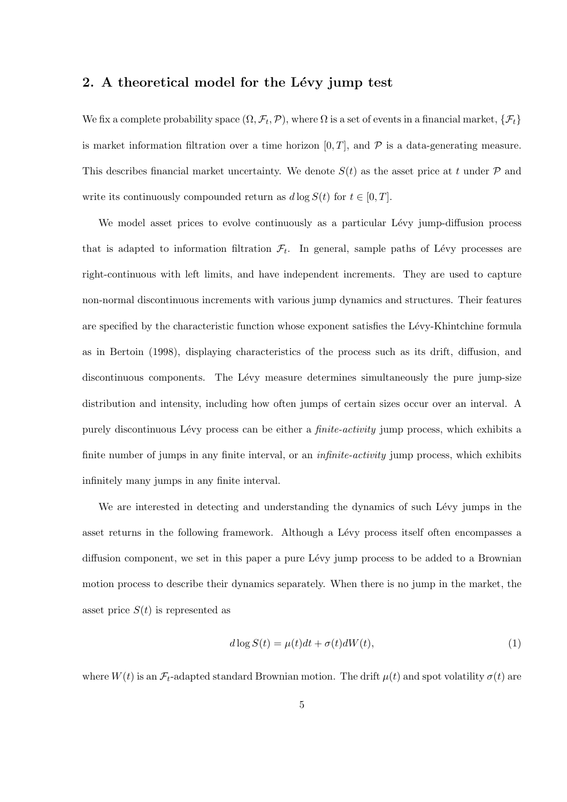### 2. A theoretical model for the Lévy jump test

We fix a complete probability space  $(\Omega, \mathcal{F}_t, \mathcal{P})$ , where  $\Omega$  is a set of events in a financial market,  $\{\mathcal{F}_t\}$ is market information filtration over a time horizon  $[0, T]$ , and  $\mathcal P$  is a data-generating measure. This describes financial market uncertainty. We denote  $S(t)$  as the asset price at t under  $\mathcal{P}$  and write its continuously compounded return as  $d \log S(t)$  for  $t \in [0, T]$ .

We model asset prices to evolve continuously as a particular Lévy jump-diffusion process that is adapted to information filtration  $\mathcal{F}_t$ . In general, sample paths of Lévy processes are right-continuous with left limits, and have independent increments. They are used to capture non-normal discontinuous increments with various jump dynamics and structures. Their features are specified by the characteristic function whose exponent satisfies the Lévy-Khintchine formula as in Bertoin (1998), displaying characteristics of the process such as its drift, diffusion, and discontinuous components. The Lévy measure determines simultaneously the pure jump-size distribution and intensity, including how often jumps of certain sizes occur over an interval. A purely discontinuous Lévy process can be either a *finite-activity* jump process, which exhibits a finite number of jumps in any finite interval, or an *infinite-activity* jump process, which exhibits infinitely many jumps in any finite interval.

We are interested in detecting and understanding the dynamics of such Lévy jumps in the asset returns in the following framework. Although a Lévy process itself often encompasses a diffusion component, we set in this paper a pure Lévy jump process to be added to a Brownian motion process to describe their dynamics separately. When there is no jump in the market, the asset price  $S(t)$  is represented as

$$
d\log S(t) = \mu(t)dt + \sigma(t)dW(t),\tag{1}
$$

where  $W(t)$  is an  $\mathcal{F}_t$ -adapted standard Brownian motion. The drift  $\mu(t)$  and spot volatility  $\sigma(t)$  are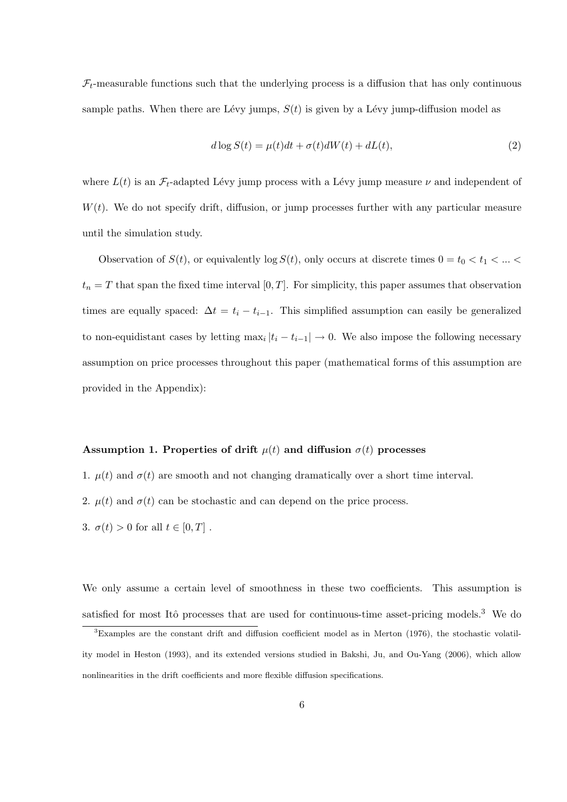$\mathcal{F}_t$ -measurable functions such that the underlying process is a diffusion that has only continuous sample paths. When there are Lévy jumps,  $S(t)$  is given by a Lévy jump-diffusion model as

$$
d \log S(t) = \mu(t)dt + \sigma(t)dW(t) + dL(t),
$$
\n(2)

where  $L(t)$  is an  $\mathcal{F}_t$ -adapted Lévy jump process with a Lévy jump measure  $\nu$  and independent of  $W(t)$ . We do not specify drift, diffusion, or jump processes further with any particular measure until the simulation study.

Observation of  $S(t)$ , or equivalently log  $S(t)$ , only occurs at discrete times  $0 = t_0 < t_1 < \ldots <$  $t_n = T$  that span the fixed time interval  $[0, T]$ . For simplicity, this paper assumes that observation times are equally spaced:  $\Delta t = t_i - t_{i-1}$ . This simplified assumption can easily be generalized to non-equidistant cases by letting  $\max_i |t_i - t_{i-1}| \to 0$ . We also impose the following necessary assumption on price processes throughout this paper (mathematical forms of this assumption are provided in the Appendix):

### Assumption 1. Properties of drift  $\mu(t)$  and diffusion  $\sigma(t)$  processes

- 1.  $\mu(t)$  and  $\sigma(t)$  are smooth and not changing dramatically over a short time interval.
- 2.  $\mu(t)$  and  $\sigma(t)$  can be stochastic and can depend on the price process.
- 3.  $\sigma(t) > 0$  for all  $t \in [0, T]$ .

We only assume a certain level of smoothness in these two coefficients. This assumption is satisfied for most Itô processes that are used for continuous-time asset-pricing models.<sup>3</sup> We do

<sup>3</sup>Examples are the constant drift and diffusion coefficient model as in Merton (1976), the stochastic volatility model in Heston (1993), and its extended versions studied in Bakshi, Ju, and Ou-Yang (2006), which allow nonlinearities in the drift coefficients and more flexible diffusion specifications.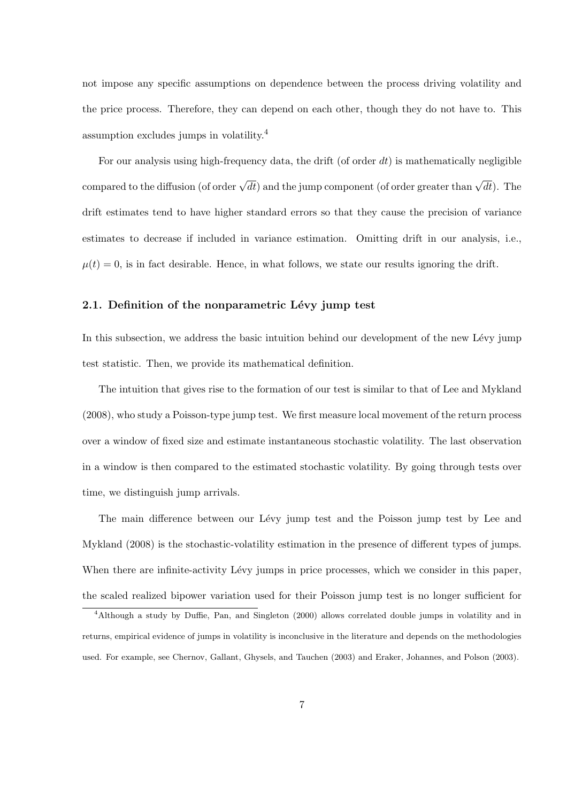not impose any specific assumptions on dependence between the process driving volatility and the price process. Therefore, they can depend on each other, though they do not have to. This assumption excludes jumps in volatility.<sup>4</sup>

For our analysis using high-frequency data, the drift (of order  $dt$ ) is mathematically negligible compared to the diffusion (of order  $\sqrt{dt}$ ) and the jump component (of order greater than  $\sqrt{dt}$ ). The drift estimates tend to have higher standard errors so that they cause the precision of variance estimates to decrease if included in variance estimation. Omitting drift in our analysis, i.e.,  $\mu(t) = 0$ , is in fact desirable. Hence, in what follows, we state our results ignoring the drift.

#### 2.1. Definition of the nonparametric Lévy jump test

In this subsection, we address the basic intuition behind our development of the new Lévy jump test statistic. Then, we provide its mathematical definition.

The intuition that gives rise to the formation of our test is similar to that of Lee and Mykland (2008), who study a Poisson-type jump test. We first measure local movement of the return process over a window of fixed size and estimate instantaneous stochastic volatility. The last observation in a window is then compared to the estimated stochastic volatility. By going through tests over time, we distinguish jump arrivals.

The main difference between our Lévy jump test and the Poisson jump test by Lee and Mykland (2008) is the stochastic-volatility estimation in the presence of different types of jumps. When there are infinite-activity Lévy jumps in price processes, which we consider in this paper, the scaled realized bipower variation used for their Poisson jump test is no longer sufficient for

<sup>4</sup>Although a study by Duffie, Pan, and Singleton (2000) allows correlated double jumps in volatility and in returns, empirical evidence of jumps in volatility is inconclusive in the literature and depends on the methodologies used. For example, see Chernov, Gallant, Ghysels, and Tauchen (2003) and Eraker, Johannes, and Polson (2003).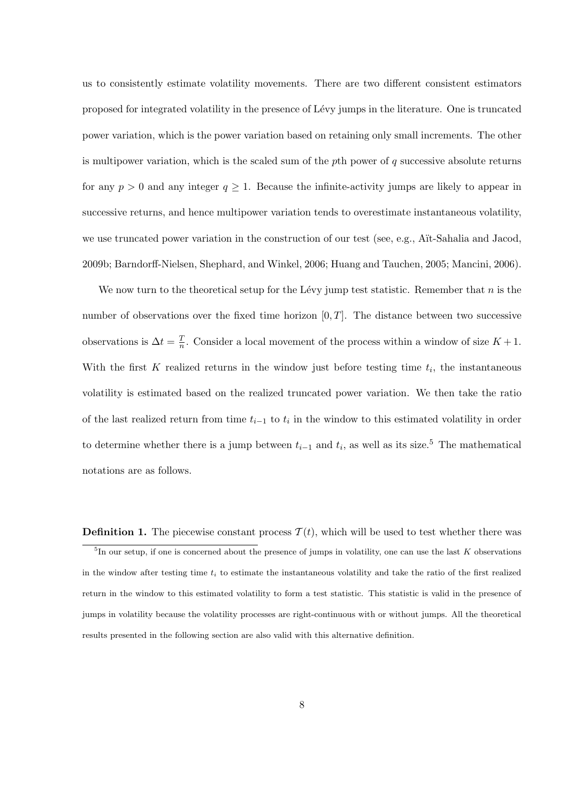us to consistently estimate volatility movements. There are two different consistent estimators proposed for integrated volatility in the presence of L´evy jumps in the literature. One is truncated power variation, which is the power variation based on retaining only small increments. The other is multipower variation, which is the scaled sum of the pth power of  $q$  successive absolute returns for any  $p > 0$  and any integer  $q \ge 1$ . Because the infinite-activity jumps are likely to appear in successive returns, and hence multipower variation tends to overestimate instantaneous volatility, we use truncated power variation in the construction of our test (see, e.g., Aït-Sahalia and Jacod, 2009b; Barndorff-Nielsen, Shephard, and Winkel, 2006; Huang and Tauchen, 2005; Mancini, 2006).

We now turn to the theoretical setup for the Lévy jump test statistic. Remember that  $n$  is the number of observations over the fixed time horizon  $[0, T]$ . The distance between two successive observations is  $\Delta t = \frac{T}{n}$  $\frac{T}{n}$ . Consider a local movement of the process within a window of size  $K + 1$ . With the first  $K$  realized returns in the window just before testing time  $t_i$ , the instantaneous volatility is estimated based on the realized truncated power variation. We then take the ratio of the last realized return from time  $t_{i-1}$  to  $t_i$  in the window to this estimated volatility in order to determine whether there is a jump between  $t_{i-1}$  and  $t_i$ , as well as its size.<sup>5</sup> The mathematical notations are as follows.

**Definition 1.** The piecewise constant process  $\mathcal{T}(t)$ , which will be used to test whether there was

 ${}^{5}$ In our setup, if one is concerned about the presence of jumps in volatility, one can use the last K observations in the window after testing time  $t_i$  to estimate the instantaneous volatility and take the ratio of the first realized return in the window to this estimated volatility to form a test statistic. This statistic is valid in the presence of jumps in volatility because the volatility processes are right-continuous with or without jumps. All the theoretical results presented in the following section are also valid with this alternative definition.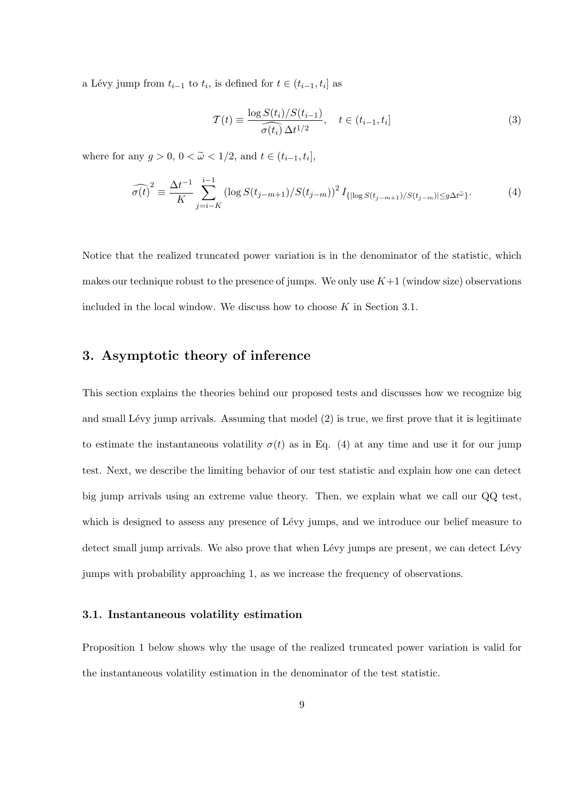a Lévy jump from  $t_{i-1}$  to  $t_i$ , is defined for  $t \in (t_{i-1}, t_i]$  as

$$
\mathcal{T}(t) \equiv \frac{\log S(t_i)/S(t_{i-1})}{\sigma(t_i)\,\Delta t^{1/2}}, \quad t \in (t_{i-1}, t_i]
$$
\n(3)

where for any  $g > 0$ ,  $0 < \tilde{\omega} < 1/2$ , and  $t \in (t_{i-1}, t_i]$ ,

$$
\widehat{\sigma(t)}^2 \equiv \frac{\Delta t^{-1}}{K} \sum_{j=i-K}^{i-1} (\log S(t_{j-m+1})/S(t_{j-m}))^2 I_{\{|\log S(t_{j-m+1})/S(t_{j-m})| \le g \Delta t^{\tilde{\omega}}\}}.
$$
(4)

Notice that the realized truncated power variation is in the denominator of the statistic, which makes our technique robust to the presence of jumps. We only use  $K+1$  (window size) observations included in the local window. We discuss how to choose  $K$  in Section 3.1.

# 3. Asymptotic theory of inference

This section explains the theories behind our proposed tests and discusses how we recognize big and small Lévy jump arrivals. Assuming that model  $(2)$  is true, we first prove that it is legitimate to estimate the instantaneous volatility  $\sigma(t)$  as in Eq. (4) at any time and use it for our jump test. Next, we describe the limiting behavior of our test statistic and explain how one can detect big jump arrivals using an extreme value theory. Then, we explain what we call our QQ test, which is designed to assess any presence of Lévy jumps, and we introduce our belief measure to detect small jump arrivals. We also prove that when Lévy jumps are present, we can detect Lévy jumps with probability approaching 1, as we increase the frequency of observations.

#### 3.1. Instantaneous volatility estimation

Proposition 1 below shows why the usage of the realized truncated power variation is valid for the instantaneous volatility estimation in the denominator of the test statistic.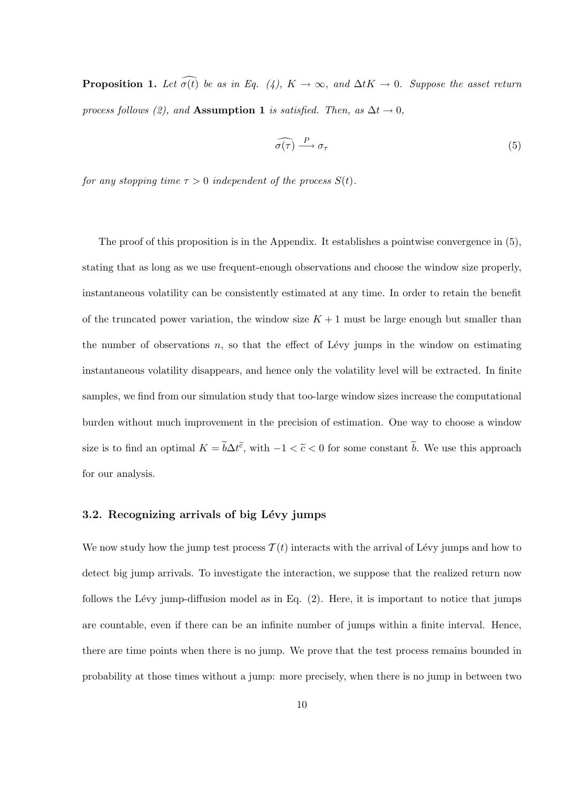**Proposition 1.** Let  $\widehat{\sigma(t)}$  be as in Eq. (4),  $K \to \infty$ , and  $\Delta tK \to 0$ . Suppose the asset return process follows (2), and Assumption 1 is satisfied. Then, as  $\Delta t \rightarrow 0$ ,

$$
\widehat{\sigma(\tau)} \xrightarrow{P} \sigma_{\tau} \tag{5}
$$

for any stopping time  $\tau > 0$  independent of the process  $S(t)$ .

The proof of this proposition is in the Appendix. It establishes a pointwise convergence in  $(5)$ , stating that as long as we use frequent-enough observations and choose the window size properly, instantaneous volatility can be consistently estimated at any time. In order to retain the benefit of the truncated power variation, the window size  $K + 1$  must be large enough but smaller than the number of observations  $n$ , so that the effect of Lévy jumps in the window on estimating instantaneous volatility disappears, and hence only the volatility level will be extracted. In finite samples, we find from our simulation study that too-large window sizes increase the computational burden without much improvement in the precision of estimation. One way to choose a window size is to find an optimal  $K = \tilde{b} \Delta t^{\tilde{c}}$ , with  $-1 < \tilde{c} < 0$  for some constant  $\tilde{b}$ . We use this approach for our analysis.

### 3.2. Recognizing arrivals of big Lévy jumps

We now study how the jump test process  $\mathcal{T}(t)$  interacts with the arrival of Lévy jumps and how to detect big jump arrivals. To investigate the interaction, we suppose that the realized return now follows the Lévy jump-diffusion model as in Eq.  $(2)$ . Here, it is important to notice that jumps are countable, even if there can be an infinite number of jumps within a finite interval. Hence, there are time points when there is no jump. We prove that the test process remains bounded in probability at those times without a jump: more precisely, when there is no jump in between two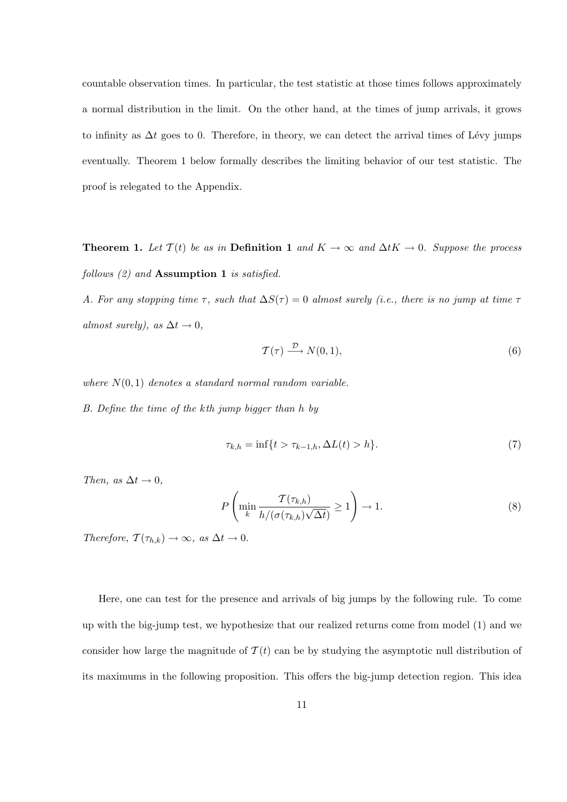countable observation times. In particular, the test statistic at those times follows approximately a normal distribution in the limit. On the other hand, at the times of jump arrivals, it grows to infinity as  $\Delta t$  goes to 0. Therefore, in theory, we can detect the arrival times of Lévy jumps eventually. Theorem 1 below formally describes the limiting behavior of our test statistic. The proof is relegated to the Appendix.

**Theorem 1.** Let  $\mathcal{T}(t)$  be as in **Definition 1** and  $K \to \infty$  and  $\Delta t K \to 0$ . Suppose the process follows  $(2)$  and **Assumption 1** is satisfied.

A. For any stopping time  $\tau$ , such that  $\Delta S(\tau) = 0$  almost surely (i.e., there is no jump at time  $\tau$ almost surely), as  $\Delta t \rightarrow 0$ ,

$$
\mathcal{T}(\tau) \xrightarrow{\mathcal{D}} N(0,1),\tag{6}
$$

where  $N(0, 1)$  denotes a standard normal random variable.

B. Define the time of the kth jump bigger than h by

$$
\tau_{k,h} = \inf\{t > \tau_{k-1,h}, \Delta L(t) > h\}.
$$
\n(7)

Then, as  $\Delta t \rightarrow 0$ ,

$$
P\left(\min_{k} \frac{\mathcal{T}(\tau_{k,h})}{h/(\sigma(\tau_{k,h})\sqrt{\Delta t})} \ge 1\right) \to 1.
$$
\n(8)

Therefore,  $\mathcal{T}(\tau_{h,k}) \to \infty$ , as  $\Delta t \to 0$ .

Here, one can test for the presence and arrivals of big jumps by the following rule. To come up with the big-jump test, we hypothesize that our realized returns come from model (1) and we consider how large the magnitude of  $\mathcal{T}(t)$  can be by studying the asymptotic null distribution of its maximums in the following proposition. This offers the big-jump detection region. This idea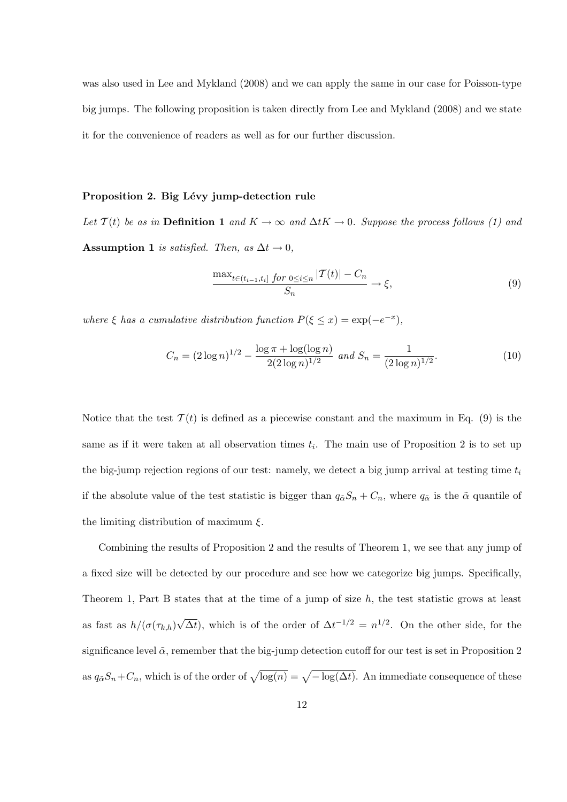was also used in Lee and Mykland (2008) and we can apply the same in our case for Poisson-type big jumps. The following proposition is taken directly from Lee and Mykland (2008) and we state it for the convenience of readers as well as for our further discussion.

### Proposition 2. Big Lévy jump-detection rule

Let  $\mathcal{T}(t)$  be as in **Definition 1** and  $K \to \infty$  and  $\Delta t K \to 0$ . Suppose the process follows (1) and Assumption 1 is satisfied. Then, as  $\Delta t \rightarrow 0$ ,

$$
\frac{\max_{t \in (t_{i-1}, t_i]} \text{ for } 0 \le i \le n} |T(t)| - C_n}{S_n} \to \xi,
$$
\n(9)

where  $\xi$  has a cumulative distribution function  $P(\xi \leq x) = \exp(-e^{-x}),$ 

$$
C_n = (2\log n)^{1/2} - \frac{\log \pi + \log(\log n)}{2(2\log n)^{1/2}} \text{ and } S_n = \frac{1}{(2\log n)^{1/2}}.
$$
 (10)

Notice that the test  $\mathcal{T}(t)$  is defined as a piecewise constant and the maximum in Eq. (9) is the same as if it were taken at all observation times  $t_i$ . The main use of Proposition 2 is to set up the big-jump rejection regions of our test: namely, we detect a big jump arrival at testing time  $t_i$ if the absolute value of the test statistic is bigger than  $q_{\tilde{\alpha}}S_n + C_n$ , where  $q_{\tilde{\alpha}}$  is the  $\tilde{\alpha}$  quantile of the limiting distribution of maximum  $\xi$ .

Combining the results of Proposition 2 and the results of Theorem 1, we see that any jump of a fixed size will be detected by our procedure and see how we categorize big jumps. Specifically, Theorem 1, Part B states that at the time of a jump of size  $h$ , the test statistic grows at least as fast as  $h/(\sigma(\tau_{k,h}))$ √  $\overline{\Delta t}$ , which is of the order of  $\Delta t^{-1/2} = n^{1/2}$ . On the other side, for the significance level  $\tilde{\alpha}$ , remember that the big-jump detection cutoff for our test is set in Proposition 2 as  $q_{\tilde{\alpha}}S_n + C_n$ , which is of the order of  $\sqrt{\log(n)} = \sqrt{-\log(\Delta t)}$ . An immediate consequence of these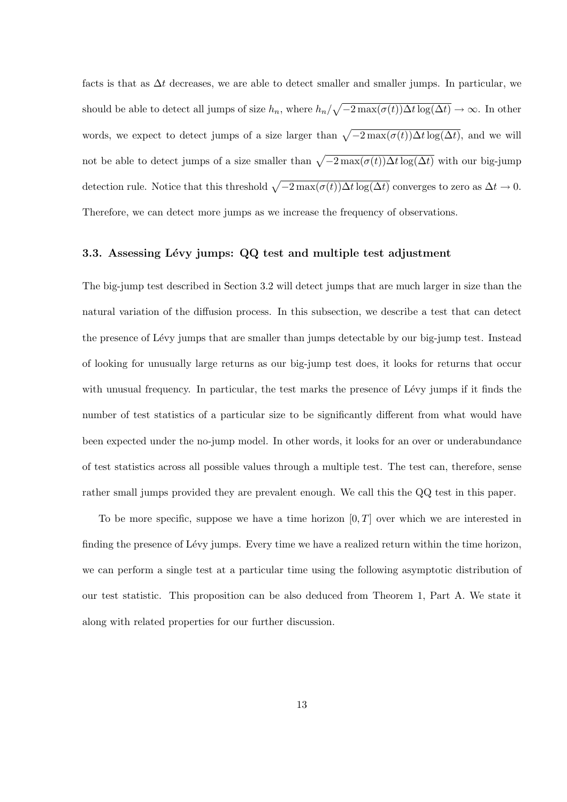facts is that as  $\Delta t$  decreases, we are able to detect smaller and smaller jumps. In particular, we should be able to detect all jumps of size  $h_n$ , where  $h_n/$ p  $-2\max(\sigma(t))\Delta t \log(\Delta t) \rightarrow \infty$ . In other words, we expect to detect jumps of a size larger than  $\sqrt{-2 \max(\sigma(t)) \Delta t \log(\Delta t)}$ , and we will not be able to detect jumps of a size smaller than  $\sqrt{-2 \max(\sigma(t)) \Delta t \log(\Delta t)}$  with our big-jump detection rule. Notice that this threshold  $\sqrt{-2 \max(\sigma(t)) \Delta t \log(\Delta t)}$  converges to zero as  $\Delta t \to 0$ . Therefore, we can detect more jumps as we increase the frequency of observations.

### 3.3. Assessing Lévy jumps: QQ test and multiple test adjustment

The big-jump test described in Section 3.2 will detect jumps that are much larger in size than the natural variation of the diffusion process. In this subsection, we describe a test that can detect the presence of Lévy jumps that are smaller than jumps detectable by our big-jump test. Instead of looking for unusually large returns as our big-jump test does, it looks for returns that occur with unusual frequency. In particular, the test marks the presence of Lévy jumps if it finds the number of test statistics of a particular size to be significantly different from what would have been expected under the no-jump model. In other words, it looks for an over or underabundance of test statistics across all possible values through a multiple test. The test can, therefore, sense rather small jumps provided they are prevalent enough. We call this the QQ test in this paper.

To be more specific, suppose we have a time horizon  $[0, T]$  over which we are interested in finding the presence of Lévy jumps. Every time we have a realized return within the time horizon, we can perform a single test at a particular time using the following asymptotic distribution of our test statistic. This proposition can be also deduced from Theorem 1, Part A. We state it along with related properties for our further discussion.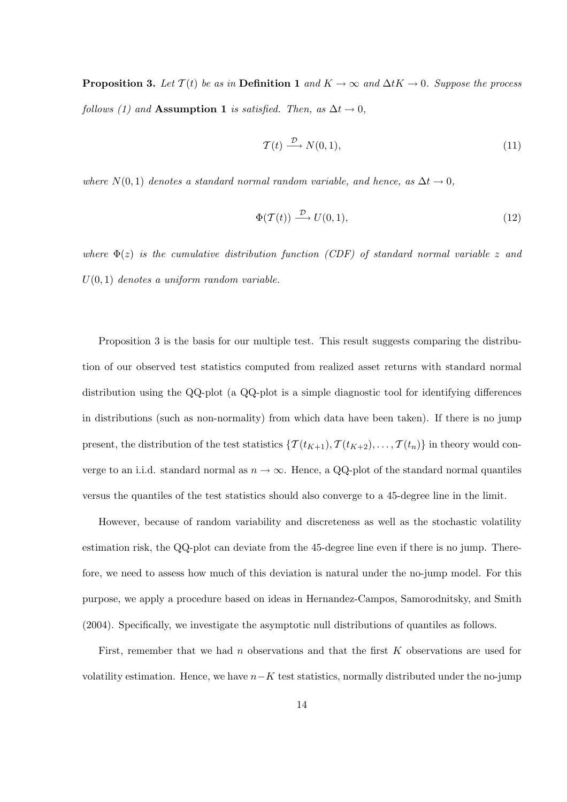**Proposition 3.** Let  $\mathcal{T}(t)$  be as in Definition 1 and  $K \to \infty$  and  $\Delta t K \to 0$ . Suppose the process follows (1) and Assumption 1 is satisfied. Then, as  $\Delta t \rightarrow 0$ ,

$$
\mathcal{T}(t) \xrightarrow{\mathcal{D}} N(0,1),\tag{11}
$$

where  $N(0, 1)$  denotes a standard normal random variable, and hence, as  $\Delta t \rightarrow 0$ ,

$$
\Phi(\mathcal{T}(t)) \stackrel{\mathcal{D}}{\longrightarrow} U(0,1),\tag{12}
$$

where  $\Phi(z)$  is the cumulative distribution function (CDF) of standard normal variable z and  $U(0, 1)$  denotes a uniform random variable.

Proposition 3 is the basis for our multiple test. This result suggests comparing the distribution of our observed test statistics computed from realized asset returns with standard normal distribution using the QQ-plot (a QQ-plot is a simple diagnostic tool for identifying differences in distributions (such as non-normality) from which data have been taken). If there is no jump present, the distribution of the test statistics  $\{\mathcal{T}(t_{K+1}), \mathcal{T}(t_{K+2}), \ldots, \mathcal{T}(t_n)\}\$  in theory would converge to an i.i.d. standard normal as  $n \to \infty$ . Hence, a QQ-plot of the standard normal quantiles versus the quantiles of the test statistics should also converge to a 45-degree line in the limit.

However, because of random variability and discreteness as well as the stochastic volatility estimation risk, the QQ-plot can deviate from the 45-degree line even if there is no jump. Therefore, we need to assess how much of this deviation is natural under the no-jump model. For this purpose, we apply a procedure based on ideas in Hernandez-Campos, Samorodnitsky, and Smith (2004). Specifically, we investigate the asymptotic null distributions of quantiles as follows.

First, remember that we had n observations and that the first  $K$  observations are used for volatility estimation. Hence, we have  $n-K$  test statistics, normally distributed under the no-jump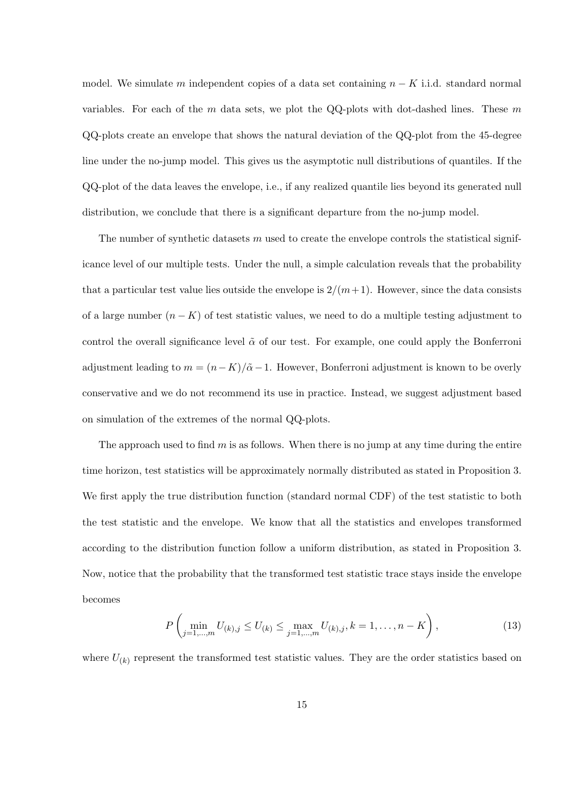model. We simulate m independent copies of a data set containing  $n - K$  i.i.d. standard normal variables. For each of the m data sets, we plot the QQ-plots with dot-dashed lines. These m QQ-plots create an envelope that shows the natural deviation of the QQ-plot from the 45-degree line under the no-jump model. This gives us the asymptotic null distributions of quantiles. If the QQ-plot of the data leaves the envelope, i.e., if any realized quantile lies beyond its generated null distribution, we conclude that there is a significant departure from the no-jump model.

The number of synthetic datasets  $m$  used to create the envelope controls the statistical significance level of our multiple tests. Under the null, a simple calculation reveals that the probability that a particular test value lies outside the envelope is  $2/(m+1)$ . However, since the data consists of a large number  $(n - K)$  of test statistic values, we need to do a multiple testing adjustment to control the overall significance level  $\tilde{\alpha}$  of our test. For example, one could apply the Bonferroni adjustment leading to  $m = (n - K)/\tilde{\alpha} - 1$ . However, Bonferroni adjustment is known to be overly conservative and we do not recommend its use in practice. Instead, we suggest adjustment based on simulation of the extremes of the normal QQ-plots.

The approach used to find  $m$  is as follows. When there is no jump at any time during the entire time horizon, test statistics will be approximately normally distributed as stated in Proposition 3. We first apply the true distribution function (standard normal CDF) of the test statistic to both the test statistic and the envelope. We know that all the statistics and envelopes transformed according to the distribution function follow a uniform distribution, as stated in Proposition 3. Now, notice that the probability that the transformed test statistic trace stays inside the envelope becomes

$$
P\left(\min_{j=1,\dots,m} U_{(k),j} \le U_{(k)} \le \max_{j=1,\dots,m} U_{(k),j}, k=1,\dots,n-K\right),\tag{13}
$$

where  $U_{(k)}$  represent the transformed test statistic values. They are the order statistics based on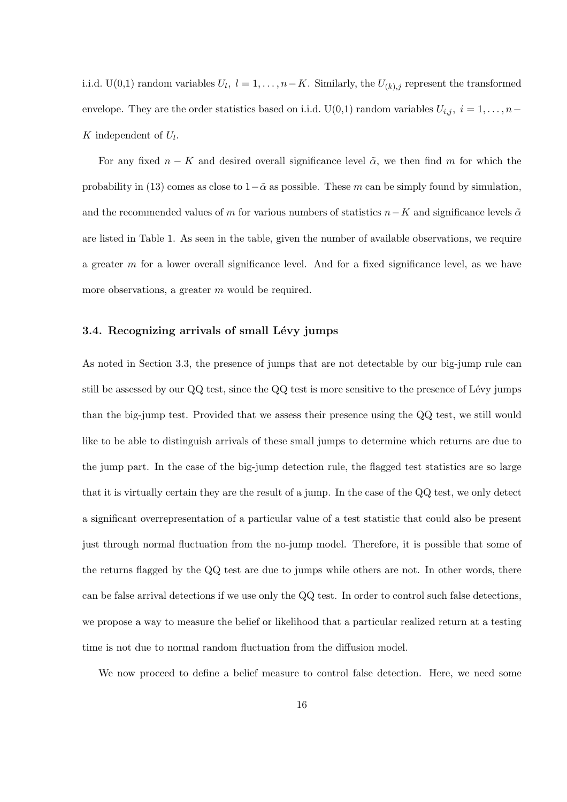i.i.d. U(0,1) random variables  $U_l$ ,  $l = 1, \ldots, n-K$ . Similarly, the  $U_{(k),j}$  represent the transformed envelope. They are the order statistics based on i.i.d. U(0,1) random variables  $U_{i,j}$ ,  $i = 1, ..., n-$ K independent of  $U_l$ .

For any fixed  $n - K$  and desired overall significance level  $\tilde{\alpha}$ , we then find m for which the probability in (13) comes as close to  $1-\tilde{\alpha}$  as possible. These m can be simply found by simulation, and the recommended values of m for various numbers of statistics  $n-K$  and significance levels  $\tilde{\alpha}$ are listed in Table 1. As seen in the table, given the number of available observations, we require a greater  $m$  for a lower overall significance level. And for a fixed significance level, as we have more observations, a greater m would be required.

### 3.4. Recognizing arrivals of small Lévy jumps

As noted in Section 3.3, the presence of jumps that are not detectable by our big-jump rule can still be assessed by our  $QQ$  test, since the  $QQ$  test is more sensitive to the presence of Lévy jumps than the big-jump test. Provided that we assess their presence using the QQ test, we still would like to be able to distinguish arrivals of these small jumps to determine which returns are due to the jump part. In the case of the big-jump detection rule, the flagged test statistics are so large that it is virtually certain they are the result of a jump. In the case of the QQ test, we only detect a significant overrepresentation of a particular value of a test statistic that could also be present just through normal fluctuation from the no-jump model. Therefore, it is possible that some of the returns flagged by the QQ test are due to jumps while others are not. In other words, there can be false arrival detections if we use only the QQ test. In order to control such false detections, we propose a way to measure the belief or likelihood that a particular realized return at a testing time is not due to normal random fluctuation from the diffusion model.

We now proceed to define a belief measure to control false detection. Here, we need some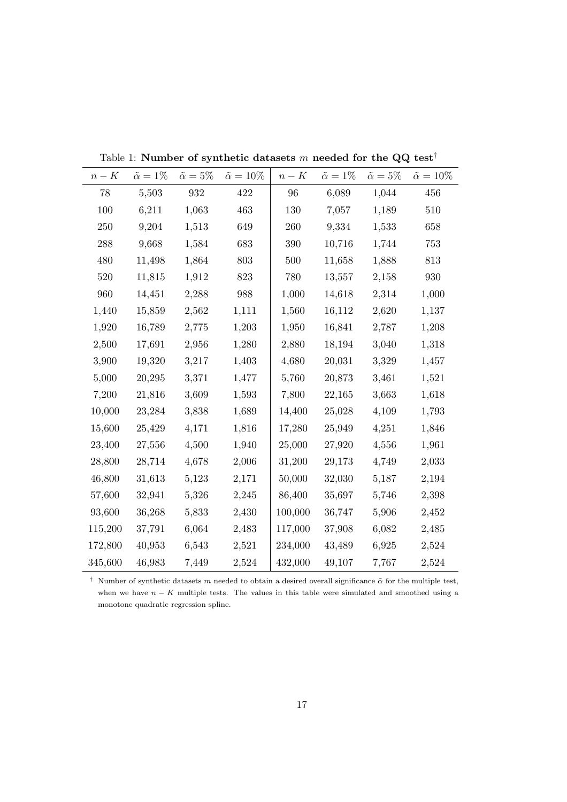| $n-K$   | $\tilde{\alpha}=1\%$ | $\tilde{\alpha} = 5\%$ | $\tilde{\alpha} = 10\%$ | $n-K$   | $\tilde{\alpha}=1\%$ | $\tilde{\alpha} = 5\%$ | $\tilde{\alpha} = 10\%$ |
|---------|----------------------|------------------------|-------------------------|---------|----------------------|------------------------|-------------------------|
| 78      | 5,503                | 932                    | 422                     | 96      | 6,089                | 1,044                  | 456                     |
| 100     | 6,211                | 1,063                  | 463                     | 130     | 7,057                | 1,189                  | 510                     |
| 250     | 9,204                | 1,513                  | 649                     | 260     | 9,334                | 1,533                  | 658                     |
| 288     | 9,668                | 1,584                  | 683                     | 390     | 10,716               | 1,744                  | 753                     |
| 480     | 11,498               | 1,864                  | 803                     | 500     | 11,658               | 1,888                  | 813                     |
| 520     | 11,815               | 1,912                  | 823                     | 780     | 13,557               | 2,158                  | 930                     |
| 960     | 14,451               | 2,288                  | 988                     | 1,000   | 14,618               | 2,314                  | 1,000                   |
| 1,440   | 15,859               | 2,562                  | 1,111                   | 1,560   | 16,112               | 2,620                  | 1,137                   |
| 1,920   | 16,789               | 2,775                  | 1,203                   | 1,950   | 16,841               | 2,787                  | 1,208                   |
| 2,500   | 17,691               | 2,956                  | 1,280                   | 2,880   | 18,194               | 3,040                  | 1,318                   |
| 3,900   | 19,320               | 3,217                  | 1,403                   | 4,680   | 20,031               | 3,329                  | 1,457                   |
| 5,000   | 20,295               | 3,371                  | 1,477                   | 5,760   | 20,873               | 3,461                  | 1,521                   |
| 7,200   | 21,816               | 3,609                  | 1,593                   | 7,800   | 22,165               | 3,663                  | 1,618                   |
| 10,000  | 23,284               | 3,838                  | 1,689                   | 14,400  | 25,028               | 4,109                  | 1,793                   |
| 15,600  | 25,429               | 4,171                  | 1,816                   | 17,280  | 25,949               | 4,251                  | 1,846                   |
| 23,400  | 27,556               | 4,500                  | 1,940                   | 25,000  | 27,920               | 4,556                  | 1,961                   |
| 28,800  | 28,714               | 4,678                  | 2,006                   | 31,200  | 29,173               | 4,749                  | 2,033                   |
| 46,800  | 31,613               | 5,123                  | 2,171                   | 50,000  | 32,030               | 5,187                  | 2,194                   |
| 57,600  | 32,941               | 5,326                  | 2,245                   | 86,400  | 35,697               | 5,746                  | 2,398                   |
| 93,600  | 36,268               | 5,833                  | 2,430                   | 100,000 | 36,747               | 5,906                  | 2,452                   |
| 115,200 | 37,791               | 6,064                  | 2,483                   | 117,000 | 37,908               | 6,082                  | 2,485                   |
| 172,800 | 40,953               | 6,543                  | 2,521                   | 234,000 | 43,489               | 6,925                  | 2,524                   |
| 345,600 | 46,983               | 7,449                  | 2,524                   | 432,000 | 49,107               | 7,767                  | 2,524                   |

Table 1: Number of synthetic datasets  $m$  needed for the  $\mathbf{Q}\mathbf{Q}$  test $^\dagger$ 

<sup>†</sup> Number of synthetic datasets  $m$  needed to obtain a desired overall significance  $\tilde{\alpha}$  for the multiple test, when we have  $n - K$  multiple tests. The values in this table were simulated and smoothed using a monotone quadratic regression spline.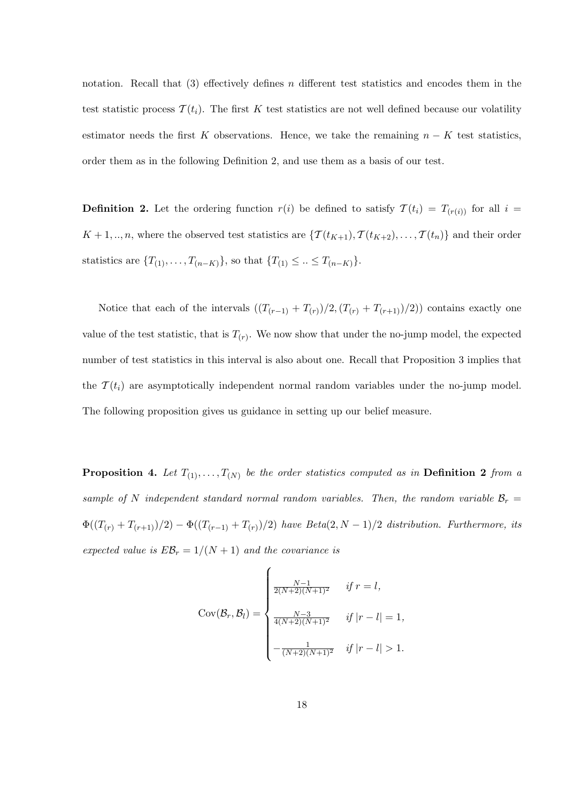notation. Recall that  $(3)$  effectively defines n different test statistics and encodes them in the test statistic process  $\mathcal{T}(t_i)$ . The first K test statistics are not well defined because our volatility estimator needs the first K observations. Hence, we take the remaining  $n - K$  test statistics, order them as in the following Definition 2, and use them as a basis of our test.

**Definition 2.** Let the ordering function  $r(i)$  be defined to satisfy  $\mathcal{T}(t_i) = T_{(r(i))}$  for all  $i =$  $K+1, ..., n$ , where the observed test statistics are  $\{\mathcal{T}(t_{K+1}), \mathcal{T}(t_{K+2}), \ldots, \mathcal{T}(t_n)\}\)$  and their order statistics are  $\{T_{(1)}, \ldots, T_{(n-K)}\}$ , so that  $\{T_{(1)} \leq \ldots \leq T_{(n-K)}\}$ .

Notice that each of the intervals  $((T_{(r-1)}+T_{(r)})/2,(T_{(r)}+T_{(r+1)})/2)$  contains exactly one value of the test statistic, that is  $T(r)$ . We now show that under the no-jump model, the expected number of test statistics in this interval is also about one. Recall that Proposition 3 implies that the  $\mathcal{T}(t_i)$  are asymptotically independent normal random variables under the no-jump model. The following proposition gives us guidance in setting up our belief measure.

**Proposition 4.** Let  $T_{(1)}, \ldots, T_{(N)}$  be the order statistics computed as in **Definition 2** from a sample of N independent standard normal random variables. Then, the random variable  $B_r =$  $\Phi((T_{(r)}+T_{(r+1)})/2)-\Phi((T_{(r-1)}+T_{(r)})/2)$  have  $Beta(2, N-1)/2$  distribution. Furthermore, its expected value is  $E\mathcal{B}_r = 1/(N+1)$  and the covariance is

 $\overline{a}$ 

$$
Cov(\mathcal{B}_r, \mathcal{B}_l) = \begin{cases} \frac{N-1}{2(N+2)(N+1)^2} & \text{if } r = l, \\ \frac{N-3}{4(N+2)(N+1)^2} & \text{if } |r - l| = 1, \\ -\frac{1}{(N+2)(N+1)^2} & \text{if } |r - l| > 1. \end{cases}
$$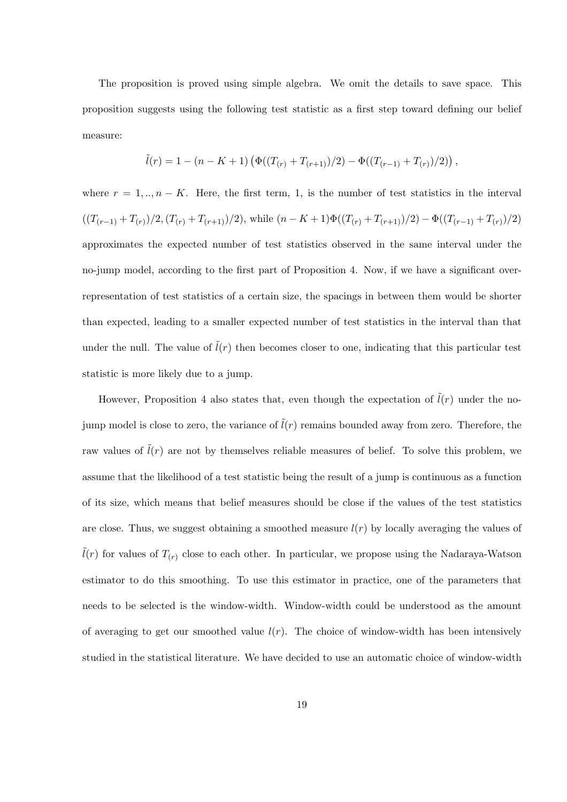The proposition is proved using simple algebra. We omit the details to save space. This proposition suggests using the following test statistic as a first step toward defining our belief measure:

$$
\tilde{l}(r) = 1 - (n - K + 1) \left( \Phi((T_{(r)} + T_{(r+1)})/2) - \Phi((T_{(r-1)} + T_{(r)})/2) \right),
$$

where  $r = 1, ..., n - K$ . Here, the first term, 1, is the number of test statistics in the interval  $((T_{(r-1)}+T_{(r)})/2,(T_{(r)}+T_{(r+1)})/2)$ , while  $(n-K+1)\Phi((T_{(r)}+T_{(r+1)})/2)-\Phi((T_{(r-1)}+T_{(r)})/2)$ approximates the expected number of test statistics observed in the same interval under the no-jump model, according to the first part of Proposition 4. Now, if we have a significant overrepresentation of test statistics of a certain size, the spacings in between them would be shorter than expected, leading to a smaller expected number of test statistics in the interval than that under the null. The value of  $\tilde{l}(r)$  then becomes closer to one, indicating that this particular test statistic is more likely due to a jump.

However, Proposition 4 also states that, even though the expectation of  $\tilde{l}(r)$  under the nojump model is close to zero, the variance of  $\tilde{l}(r)$  remains bounded away from zero. Therefore, the raw values of  $\tilde{l}(r)$  are not by themselves reliable measures of belief. To solve this problem, we assume that the likelihood of a test statistic being the result of a jump is continuous as a function of its size, which means that belief measures should be close if the values of the test statistics are close. Thus, we suggest obtaining a smoothed measure  $l(r)$  by locally averaging the values of  $l(r)$  for values of  $T(r)$  close to each other. In particular, we propose using the Nadaraya-Watson estimator to do this smoothing. To use this estimator in practice, one of the parameters that needs to be selected is the window-width. Window-width could be understood as the amount of averaging to get our smoothed value  $l(r)$ . The choice of window-width has been intensively studied in the statistical literature. We have decided to use an automatic choice of window-width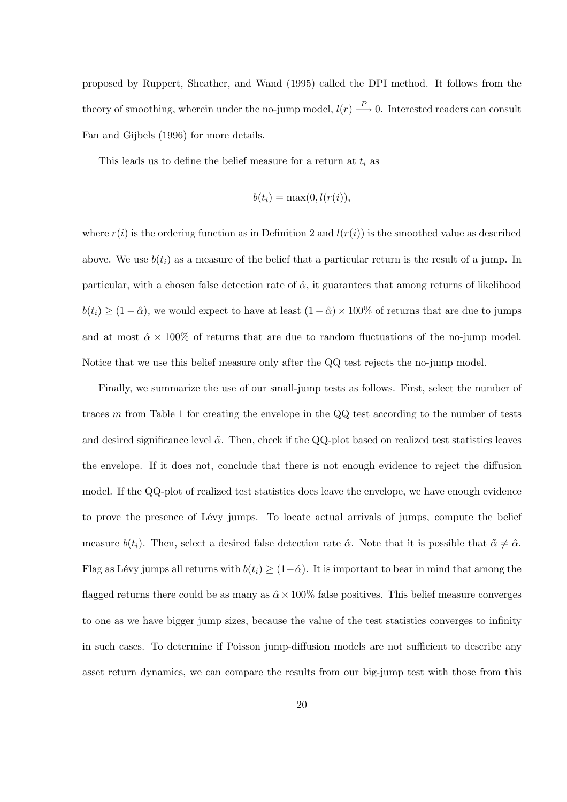proposed by Ruppert, Sheather, and Wand (1995) called the DPI method. It follows from the theory of smoothing, wherein under the no-jump model,  $l(r) \stackrel{P}{\longrightarrow} 0$ . Interested readers can consult Fan and Gijbels (1996) for more details.

This leads us to define the belief measure for a return at  $t_i$  as

$$
b(t_i) = \max(0, l(r(i)),
$$

where  $r(i)$  is the ordering function as in Definition 2 and  $l(r(i))$  is the smoothed value as described above. We use  $b(t_i)$  as a measure of the belief that a particular return is the result of a jump. In particular, with a chosen false detection rate of  $\hat{\alpha}$ , it guarantees that among returns of likelihood  $b(t_i) \geq (1 - \hat{\alpha})$ , we would expect to have at least  $(1 - \hat{\alpha}) \times 100\%$  of returns that are due to jumps and at most  $\hat{\alpha} \times 100\%$  of returns that are due to random fluctuations of the no-jump model. Notice that we use this belief measure only after the QQ test rejects the no-jump model.

Finally, we summarize the use of our small-jump tests as follows. First, select the number of traces m from Table 1 for creating the envelope in the QQ test according to the number of tests and desired significance level  $\tilde{\alpha}$ . Then, check if the QQ-plot based on realized test statistics leaves the envelope. If it does not, conclude that there is not enough evidence to reject the diffusion model. If the QQ-plot of realized test statistics does leave the envelope, we have enough evidence to prove the presence of Lévy jumps. To locate actual arrivals of jumps, compute the belief measure  $b(t_i)$ . Then, select a desired false detection rate  $\hat{\alpha}$ . Note that it is possible that  $\tilde{\alpha} \neq \hat{\alpha}$ . Flag as Lévy jumps all returns with  $b(t_i) \geq (1-\hat{\alpha})$ . It is important to bear in mind that among the flagged returns there could be as many as  $\hat{\alpha} \times 100\%$  false positives. This belief measure converges to one as we have bigger jump sizes, because the value of the test statistics converges to infinity in such cases. To determine if Poisson jump-diffusion models are not sufficient to describe any asset return dynamics, we can compare the results from our big-jump test with those from this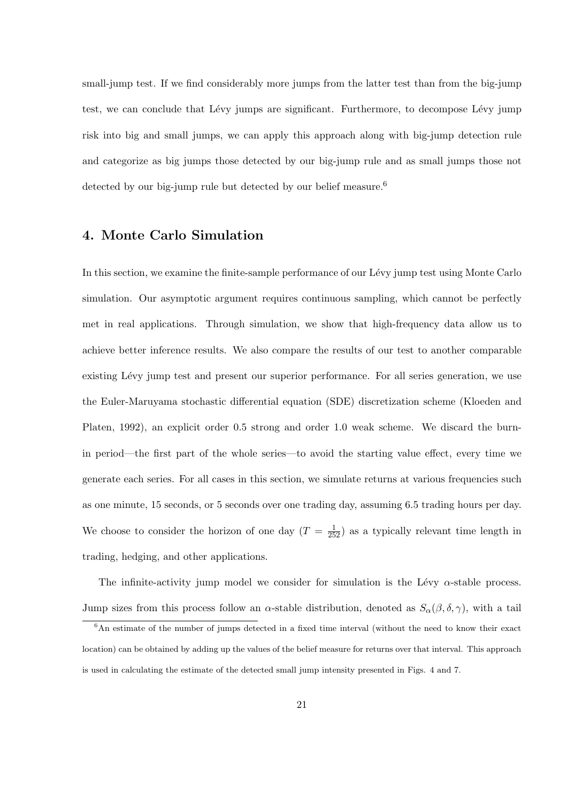small-jump test. If we find considerably more jumps from the latter test than from the big-jump test, we can conclude that Lévy jumps are significant. Furthermore, to decompose Lévy jump risk into big and small jumps, we can apply this approach along with big-jump detection rule and categorize as big jumps those detected by our big-jump rule and as small jumps those not detected by our big-jump rule but detected by our belief measure.<sup>6</sup>

# 4. Monte Carlo Simulation

In this section, we examine the finite-sample performance of our Lévy jump test using Monte Carlo simulation. Our asymptotic argument requires continuous sampling, which cannot be perfectly met in real applications. Through simulation, we show that high-frequency data allow us to achieve better inference results. We also compare the results of our test to another comparable existing Lévy jump test and present our superior performance. For all series generation, we use the Euler-Maruyama stochastic differential equation (SDE) discretization scheme (Kloeden and Platen, 1992), an explicit order 0.5 strong and order 1.0 weak scheme. We discard the burnin period—the first part of the whole series—to avoid the starting value effect, every time we generate each series. For all cases in this section, we simulate returns at various frequencies such as one minute, 15 seconds, or 5 seconds over one trading day, assuming 6.5 trading hours per day. We choose to consider the horizon of one day  $(T = \frac{1}{252})$  as a typically relevant time length in trading, hedging, and other applications.

The infinite-activity jump model we consider for simulation is the Lévy  $\alpha$ -stable process. Jump sizes from this process follow an  $\alpha$ -stable distribution, denoted as  $S_{\alpha}(\beta,\delta,\gamma)$ , with a tail

<sup>&</sup>lt;sup>6</sup>An estimate of the number of jumps detected in a fixed time interval (without the need to know their exact location) can be obtained by adding up the values of the belief measure for returns over that interval. This approach is used in calculating the estimate of the detected small jump intensity presented in Figs. 4 and 7.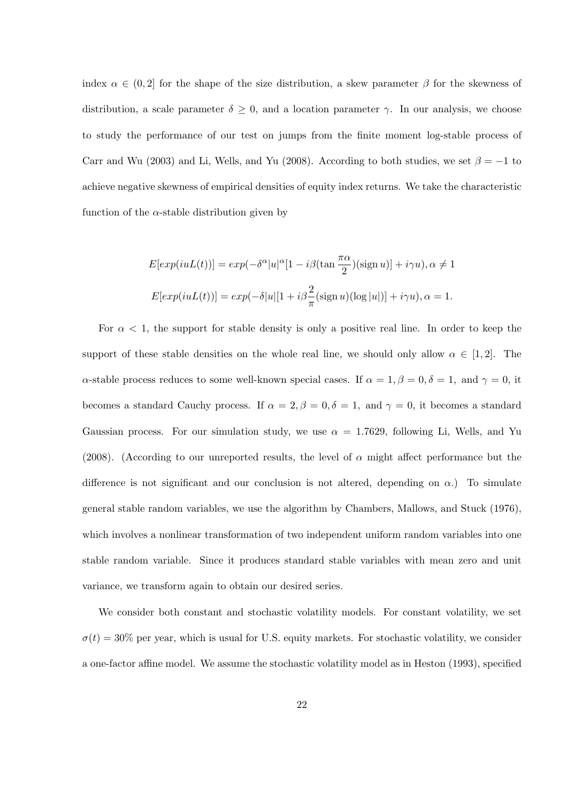index  $\alpha \in (0, 2]$  for the shape of the size distribution, a skew parameter  $\beta$  for the skewness of distribution, a scale parameter  $\delta \geq 0$ , and a location parameter  $\gamma$ . In our analysis, we choose to study the performance of our test on jumps from the finite moment log-stable process of Carr and Wu (2003) and Li, Wells, and Yu (2008). According to both studies, we set  $\beta = -1$  to achieve negative skewness of empirical densities of equity index returns. We take the characteristic function of the  $\alpha$ -stable distribution given by

$$
E[exp(iuL(t))] = exp(-\delta^{\alpha}|u|^{\alpha}[1 - i\beta(\tan\frac{\pi\alpha}{2})(\text{sign }u)] + i\gamma u), \alpha \neq 1
$$
  

$$
E[exp(iuL(t))] = exp(-\delta|u|[1 + i\beta\frac{2}{\pi}(\text{sign }u)(\log|u|)] + i\gamma u), \alpha = 1.
$$

For  $\alpha$  < 1, the support for stable density is only a positive real line. In order to keep the support of these stable densities on the whole real line, we should only allow  $\alpha \in [1,2]$ . The α-stable process reduces to some well-known special cases. If  $\alpha = 1, \beta = 0, \delta = 1$ , and  $\gamma = 0$ , it becomes a standard Cauchy process. If  $\alpha = 2, \beta = 0, \delta = 1$ , and  $\gamma = 0$ , it becomes a standard Gaussian process. For our simulation study, we use  $\alpha = 1.7629$ , following Li, Wells, and Yu (2008). (According to our unreported results, the level of  $\alpha$  might affect performance but the difference is not significant and our conclusion is not altered, depending on  $\alpha$ .) To simulate general stable random variables, we use the algorithm by Chambers, Mallows, and Stuck (1976), which involves a nonlinear transformation of two independent uniform random variables into one stable random variable. Since it produces standard stable variables with mean zero and unit variance, we transform again to obtain our desired series.

We consider both constant and stochastic volatility models. For constant volatility, we set  $\sigma(t) = 30\%$  per year, which is usual for U.S. equity markets. For stochastic volatility, we consider a one-factor affine model. We assume the stochastic volatility model as in Heston (1993), specified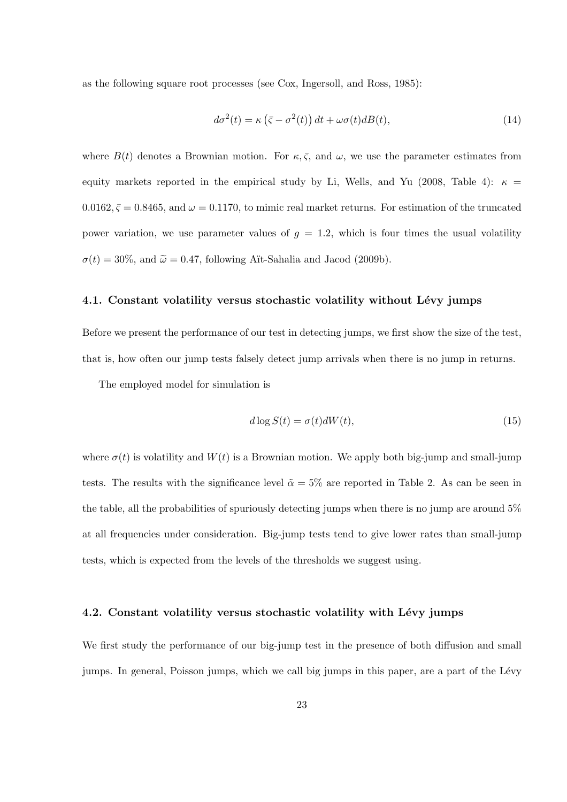as the following square root processes (see Cox, Ingersoll, and Ross, 1985):

$$
d\sigma^{2}(t) = \kappa \left(\bar{\varsigma} - \sigma^{2}(t)\right)dt + \omega\sigma(t)dB(t),
$$
\n(14)

where  $B(t)$  denotes a Brownian motion. For  $\kappa, \bar{\varsigma}$ , and  $\omega$ , we use the parameter estimates from equity markets reported in the empirical study by Li, Wells, and Yu (2008, Table 4):  $\kappa$  =  $0.0162, \bar{\varsigma} = 0.8465$ , and  $\omega = 0.1170$ , to mimic real market returns. For estimation of the truncated power variation, we use parameter values of  $g = 1.2$ , which is four times the usual volatility  $\sigma(t) = 30\%$ , and  $\tilde{\omega} = 0.47$ , following Aït-Sahalia and Jacod (2009b).

#### 4.1. Constant volatility versus stochastic volatility without Lévy jumps

Before we present the performance of our test in detecting jumps, we first show the size of the test, that is, how often our jump tests falsely detect jump arrivals when there is no jump in returns.

The employed model for simulation is

$$
d\log S(t) = \sigma(t)dW(t),\tag{15}
$$

where  $\sigma(t)$  is volatility and  $W(t)$  is a Brownian motion. We apply both big-jump and small-jump tests. The results with the significance level  $\tilde{\alpha} = 5\%$  are reported in Table 2. As can be seen in the table, all the probabilities of spuriously detecting jumps when there is no jump are around 5% at all frequencies under consideration. Big-jump tests tend to give lower rates than small-jump tests, which is expected from the levels of the thresholds we suggest using.

#### 4.2. Constant volatility versus stochastic volatility with Lévy jumps

We first study the performance of our big-jump test in the presence of both diffusion and small jumps. In general, Poisson jumps, which we call big jumps in this paper, are a part of the Lévy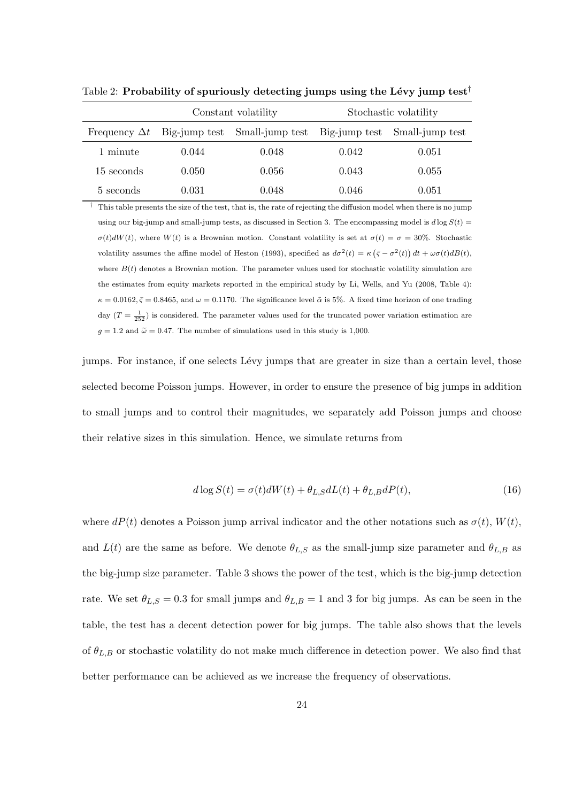|            |       | Constant volatility                                                              | Stochastic volatility |       |  |
|------------|-------|----------------------------------------------------------------------------------|-----------------------|-------|--|
|            |       | Frequency $\Delta t$ Big-jump test Small-jump test Big-jump test Small-jump test |                       |       |  |
| 1 minute   | 0.044 | 0.048                                                                            | 0.042                 | 0.051 |  |
| 15 seconds | 0.050 | 0.056                                                                            | 0.043                 | 0.055 |  |
| 5 seconds  | 0.031 | 0.048                                                                            | 0.046                 | 0.051 |  |

Table 2: Probability of spuriously detecting jumps using the Lévy jump test<sup>†</sup>

<sup> $\dagger$ </sup> This table presents the size of the test, that is, the rate of rejecting the diffusion model when there is no jump using our big-jump and small-jump tests, as discussed in Section 3. The encompassing model is  $d \log S(t)$  =  $\sigma(t)dW(t)$ , where  $W(t)$  is a Brownian motion. Constant volatility is set at  $\sigma(t) = \sigma = 30\%$ . Stochastic volatility assumes the affine model of Heston (1993), specified as  $d\sigma^2(t) = \kappa (\bar{\varsigma} - \sigma^2(t)) dt + \omega \sigma(t) dB(t)$ , where  $B(t)$  denotes a Brownian motion. The parameter values used for stochastic volatility simulation are the estimates from equity markets reported in the empirical study by Li, Wells, and Yu (2008, Table 4):  $\kappa = 0.0162$ ,  $\bar{\varsigma} = 0.8465$ , and  $\omega = 0.1170$ . The significance level  $\tilde{\alpha}$  is 5%. A fixed time horizon of one trading day  $(T = \frac{1}{252})$  is considered. The parameter values used for the truncated power variation estimation are  $g = 1.2$  and  $\tilde{\omega} = 0.47$ . The number of simulations used in this study is 1,000.

jumps. For instance, if one selects Lévy jumps that are greater in size than a certain level, those selected become Poisson jumps. However, in order to ensure the presence of big jumps in addition to small jumps and to control their magnitudes, we separately add Poisson jumps and choose their relative sizes in this simulation. Hence, we simulate returns from

$$
d \log S(t) = \sigma(t) dW(t) + \theta_{L,S} dL(t) + \theta_{L,B} dP(t), \qquad (16)
$$

where  $dP(t)$  denotes a Poisson jump arrival indicator and the other notations such as  $\sigma(t)$ ,  $W(t)$ , and  $L(t)$  are the same as before. We denote  $\theta_{L,S}$  as the small-jump size parameter and  $\theta_{L,B}$  as the big-jump size parameter. Table 3 shows the power of the test, which is the big-jump detection rate. We set  $\theta_{L,S} = 0.3$  for small jumps and  $\theta_{L,B} = 1$  and 3 for big jumps. As can be seen in the table, the test has a decent detection power for big jumps. The table also shows that the levels of  $\theta_{L,B}$  or stochastic volatility do not make much difference in detection power. We also find that better performance can be achieved as we increase the frequency of observations.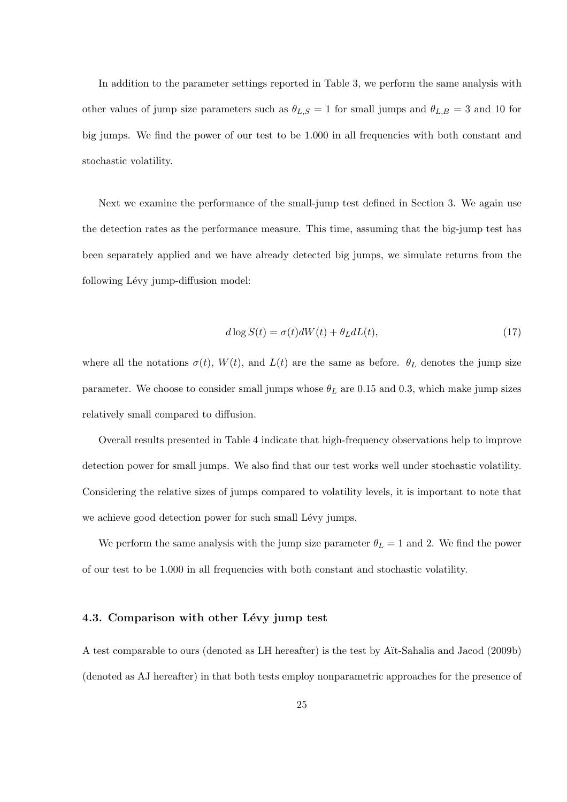In addition to the parameter settings reported in Table 3, we perform the same analysis with other values of jump size parameters such as  $\theta_{L,S} = 1$  for small jumps and  $\theta_{L,B} = 3$  and 10 for big jumps. We find the power of our test to be 1.000 in all frequencies with both constant and stochastic volatility.

Next we examine the performance of the small-jump test defined in Section 3. We again use the detection rates as the performance measure. This time, assuming that the big-jump test has been separately applied and we have already detected big jumps, we simulate returns from the following Lévy jump-diffusion model:

$$
d \log S(t) = \sigma(t)dW(t) + \theta_L dL(t),\tag{17}
$$

where all the notations  $\sigma(t)$ ,  $W(t)$ , and  $L(t)$  are the same as before.  $\theta_L$  denotes the jump size parameter. We choose to consider small jumps whose  $\theta_L$  are 0.15 and 0.3, which make jump sizes relatively small compared to diffusion.

Overall results presented in Table 4 indicate that high-frequency observations help to improve detection power for small jumps. We also find that our test works well under stochastic volatility. Considering the relative sizes of jumps compared to volatility levels, it is important to note that we achieve good detection power for such small Lévy jumps.

We perform the same analysis with the jump size parameter  $\theta_L = 1$  and 2. We find the power of our test to be 1.000 in all frequencies with both constant and stochastic volatility.

#### 4.3. Comparison with other Lévy jump test

A test comparable to ours (denoted as LH hereafter) is the test by A¨ıt-Sahalia and Jacod (2009b) (denoted as AJ hereafter) in that both tests employ nonparametric approaches for the presence of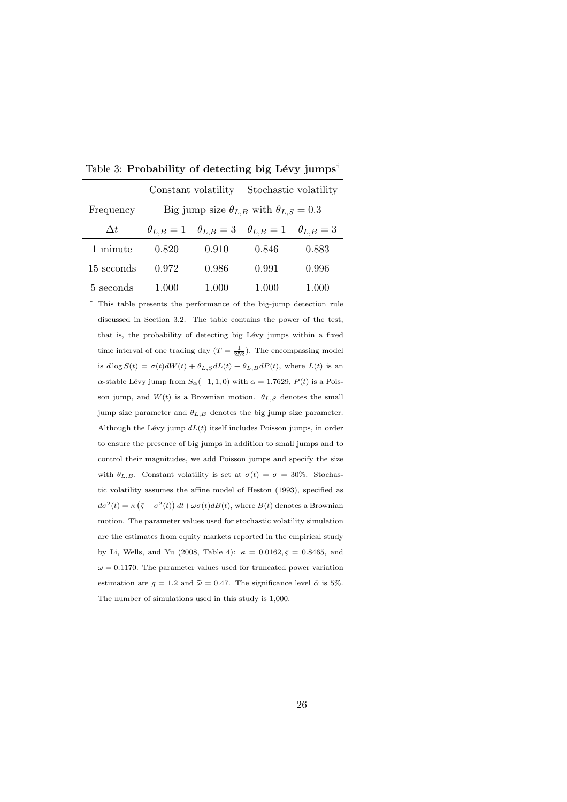|            |                                                           | Constant volatility | Stochastic volatility |                  |  |  |
|------------|-----------------------------------------------------------|---------------------|-----------------------|------------------|--|--|
| Frequency  | Big jump size $\theta_{L,B}$ with $\theta_{L,S} = 0.3$    |                     |                       |                  |  |  |
| $\Delta t$ | $\theta_{L,B} = 3$ $\theta_{L,B} = 1$<br>$\theta_{L,B}=1$ |                     |                       | $\theta_{L,B}=3$ |  |  |
| 1 minute   | 0.820                                                     | 0.910               | 0.846                 | 0.883            |  |  |
| 15 seconds | 0.972                                                     | 0.986               | 0.991                 | 0.996            |  |  |
| 5 seconds  | 1.000                                                     | 1.000               | 1.000                 | 1.000            |  |  |

Table 3: Probability of detecting big Lévy jumps<sup>†</sup>

† This table presents the performance of the big-jump detection rule discussed in Section 3.2. The table contains the power of the test, that is, the probability of detecting big Lévy jumps within a fixed time interval of one trading day  $(T = \frac{1}{252})$ . The encompassing model is  $d \log S(t) = \sigma(t) dW(t) + \theta_{L,S} dL(t) + \theta_{L,B} dP(t)$ , where  $L(t)$  is an α-stable Lévy jump from  $S_\alpha(-1, 1, 0)$  with  $\alpha = 1.7629$ ,  $P(t)$  is a Poisson jump, and  $W(t)$  is a Brownian motion.  $\theta_{L,S}$  denotes the small jump size parameter and  $\theta_{L,B}$  denotes the big jump size parameter. Although the Lévy jump  $dL(t)$  itself includes Poisson jumps, in order to ensure the presence of big jumps in addition to small jumps and to control their magnitudes, we add Poisson jumps and specify the size with  $\theta_{L,B}$ . Constant volatility is set at  $\sigma(t) = \sigma = 30\%$ . Stochastic volatility assumes the affine model of Heston (1993), specified as  $d\sigma^2(t) = \kappa \left(\bar{\varsigma} - \sigma^2(t)\right)dt + \omega \sigma(t)dB(t)$ , where  $B(t)$  denotes a Brownian motion. The parameter values used for stochastic volatility simulation are the estimates from equity markets reported in the empirical study by Li, Wells, and Yu (2008, Table 4):  $\kappa = 0.0162, \bar{\varsigma} = 0.8465$ , and  $\omega = 0.1170$ . The parameter values used for truncated power variation estimation are  $g = 1.2$  and  $\tilde{\omega} = 0.47$ . The significance level  $\tilde{\alpha}$  is 5%. The number of simulations used in this study is 1,000.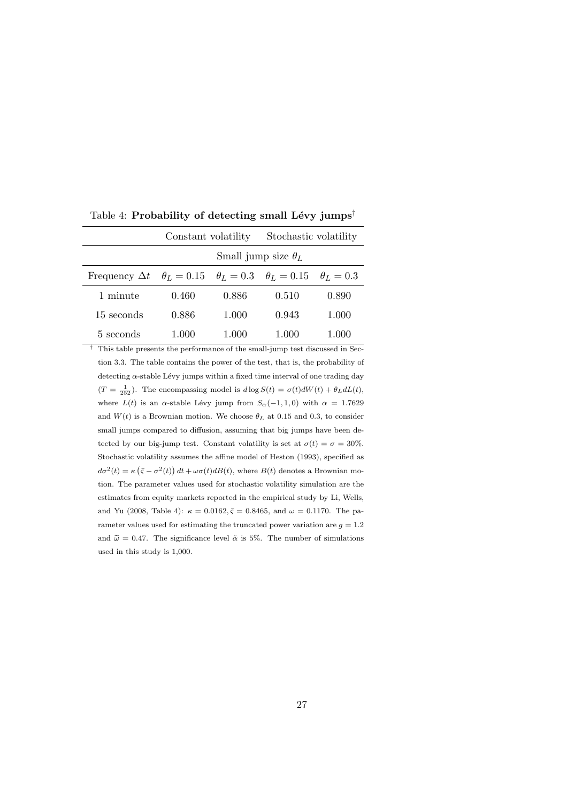|                                                                                            | Constant volatility        |       | Stochastic volatility |       |  |  |
|--------------------------------------------------------------------------------------------|----------------------------|-------|-----------------------|-------|--|--|
|                                                                                            | Small jump size $\theta_L$ |       |                       |       |  |  |
| Frequency $\Delta t$ $\theta_L = 0.15$ $\theta_L = 0.3$ $\theta_L = 0.15$ $\theta_L = 0.3$ |                            |       |                       |       |  |  |
| 1 minute                                                                                   | 0.460                      | 0.886 | 0.510                 | 0.890 |  |  |
| 15 seconds                                                                                 | 0.886                      | 1.000 | 0.943                 | 1.000 |  |  |
| 5 seconds                                                                                  | 1.000                      | 1.000 | 1.000                 | 1.000 |  |  |

Table 4: Probability of detecting small Lévy jumps<sup>†</sup>

† This table presents the performance of the small-jump test discussed in Section 3.3. The table contains the power of the test, that is, the probability of detecting  $\alpha$ -stable Lévy jumps within a fixed time interval of one trading day  $(T = \frac{1}{252})$ . The encompassing model is  $d \log S(t) = \sigma(t) dW(t) + \theta_L dL(t)$ , where  $L(t)$  is an  $\alpha$ -stable Lévy jump from  $S_{\alpha}(-1, 1, 0)$  with  $\alpha = 1.7629$ and  $W(t)$  is a Brownian motion. We choose  $\theta_L$  at 0.15 and 0.3, to consider small jumps compared to diffusion, assuming that big jumps have been detected by our big-jump test. Constant volatility is set at  $\sigma(t) = \sigma = 30\%$ . Stochastic volatility assumes the affine model of Heston (1993), specified as  $d\sigma^2(t) = \kappa (\bar{\varsigma} - \sigma^2(t)) dt + \omega \sigma(t) dB(t)$ , where  $B(t)$  denotes a Brownian motion. The parameter values used for stochastic volatility simulation are the estimates from equity markets reported in the empirical study by Li, Wells, and Yu (2008, Table 4):  $\kappa = 0.0162, \bar{\varsigma} = 0.8465$ , and  $\omega = 0.1170$ . The parameter values used for estimating the truncated power variation are  $q = 1.2$ and  $\tilde{\omega} = 0.47$ . The significance level  $\tilde{\alpha}$  is 5%. The number of simulations used in this study is 1,000.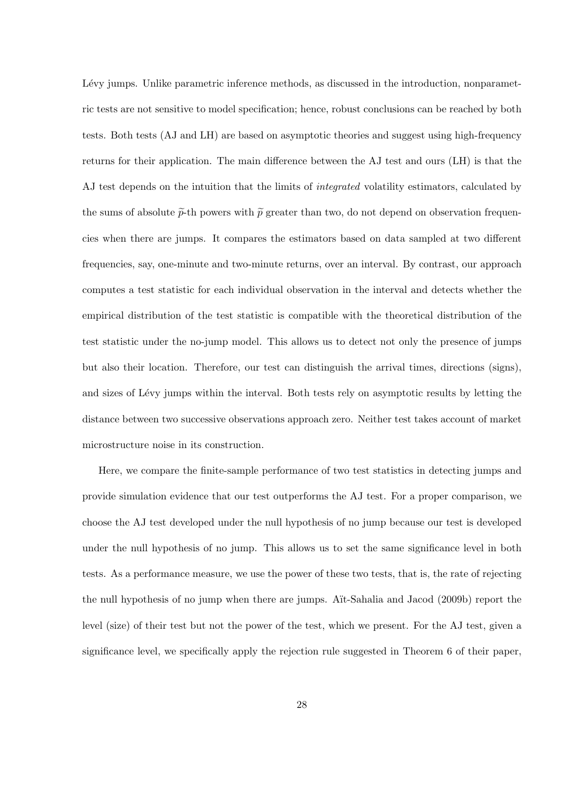Lévy jumps. Unlike parametric inference methods, as discussed in the introduction, nonparametric tests are not sensitive to model specification; hence, robust conclusions can be reached by both tests. Both tests (AJ and LH) are based on asymptotic theories and suggest using high-frequency returns for their application. The main difference between the AJ test and ours (LH) is that the AJ test depends on the intuition that the limits of *integrated* volatility estimators, calculated by the sums of absolute  $\tilde{p}$ -th powers with  $\tilde{p}$  greater than two, do not depend on observation frequencies when there are jumps. It compares the estimators based on data sampled at two different frequencies, say, one-minute and two-minute returns, over an interval. By contrast, our approach computes a test statistic for each individual observation in the interval and detects whether the empirical distribution of the test statistic is compatible with the theoretical distribution of the test statistic under the no-jump model. This allows us to detect not only the presence of jumps but also their location. Therefore, our test can distinguish the arrival times, directions (signs), and sizes of Lévy jumps within the interval. Both tests rely on asymptotic results by letting the distance between two successive observations approach zero. Neither test takes account of market microstructure noise in its construction.

Here, we compare the finite-sample performance of two test statistics in detecting jumps and provide simulation evidence that our test outperforms the AJ test. For a proper comparison, we choose the AJ test developed under the null hypothesis of no jump because our test is developed under the null hypothesis of no jump. This allows us to set the same significance level in both tests. As a performance measure, we use the power of these two tests, that is, the rate of rejecting the null hypothesis of no jump when there are jumps. A¨ıt-Sahalia and Jacod (2009b) report the level (size) of their test but not the power of the test, which we present. For the AJ test, given a significance level, we specifically apply the rejection rule suggested in Theorem 6 of their paper,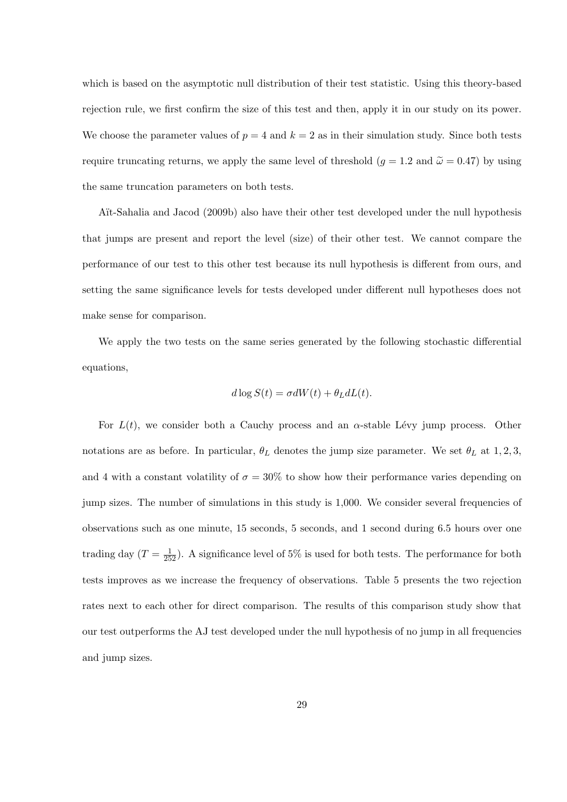which is based on the asymptotic null distribution of their test statistic. Using this theory-based rejection rule, we first confirm the size of this test and then, apply it in our study on its power. We choose the parameter values of  $p = 4$  and  $k = 2$  as in their simulation study. Since both tests require truncating returns, we apply the same level of threshold ( $g = 1.2$  and  $\tilde{\omega} = 0.47$ ) by using the same truncation parameters on both tests.

Aït-Sahalia and Jacod (2009b) also have their other test developed under the null hypothesis that jumps are present and report the level (size) of their other test. We cannot compare the performance of our test to this other test because its null hypothesis is different from ours, and setting the same significance levels for tests developed under different null hypotheses does not make sense for comparison.

We apply the two tests on the same series generated by the following stochastic differential equations,

$$
d \log S(t) = \sigma dW(t) + \theta_L dL(t).
$$

For  $L(t)$ , we consider both a Cauchy process and an  $\alpha$ -stable Lévy jump process. Other notations are as before. In particular,  $\theta_L$  denotes the jump size parameter. We set  $\theta_L$  at 1, 2, 3, and 4 with a constant volatility of  $\sigma = 30\%$  to show how their performance varies depending on jump sizes. The number of simulations in this study is 1,000. We consider several frequencies of observations such as one minute, 15 seconds, 5 seconds, and 1 second during 6.5 hours over one trading day  $(T = \frac{1}{252})$ . A significance level of 5% is used for both tests. The performance for both tests improves as we increase the frequency of observations. Table 5 presents the two rejection rates next to each other for direct comparison. The results of this comparison study show that our test outperforms the AJ test developed under the null hypothesis of no jump in all frequencies and jump sizes.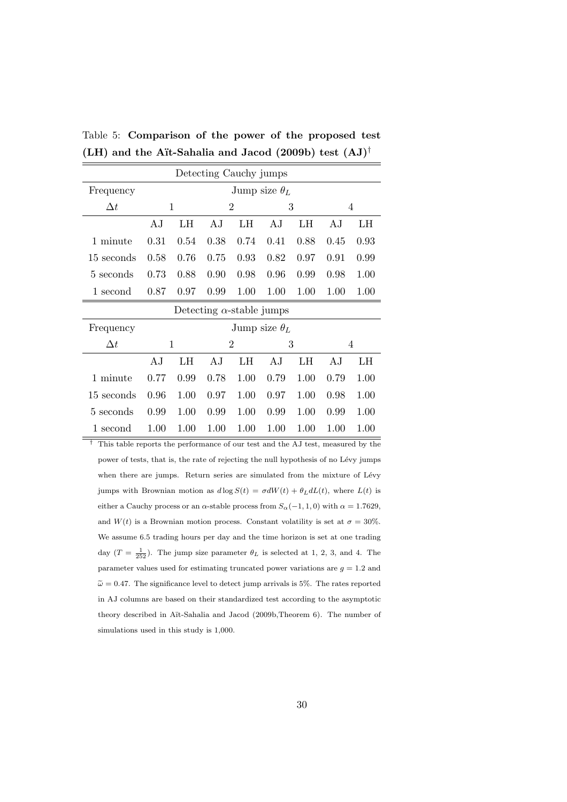| Detecting Cauchy jumps           |                      |      |                |      |      |      |                |                |  |
|----------------------------------|----------------------|------|----------------|------|------|------|----------------|----------------|--|
| Frequency                        | Jump size $\theta_L$ |      |                |      |      |      |                |                |  |
| $\Delta t$                       | 1                    |      | $\overline{2}$ |      | 3    |      | $\overline{4}$ |                |  |
|                                  | AJ                   | LH   | AJ             | LH   | A.J  | LH   | A.J            | LH             |  |
| 1 minute                         | 0.31                 | 0.54 | 0.38           | 0.74 | 0.41 | 0.88 | 0.45           | 0.93           |  |
| 15 seconds                       | 0.58                 | 0.76 | 0.75           | 0.93 | 0.82 | 0.97 | 0.91           | 0.99           |  |
| 5 seconds                        | 0.73                 | 0.88 | 0.90           | 0.98 | 0.96 | 0.99 | 0.98           | 1.00           |  |
| 1 second                         | 0.87                 | 0.97 | 0.99           | 1.00 | 1.00 | 1.00 | 1.00           | 1.00           |  |
| Detecting $\alpha$ -stable jumps |                      |      |                |      |      |      |                |                |  |
| Frequency                        | Jump size $\theta_L$ |      |                |      |      |      |                |                |  |
| $\Delta t$                       | 1                    |      | $\overline{2}$ |      |      | 3    |                | $\overline{4}$ |  |
|                                  | AJ                   | LH   | AJ             | LH   | AJ   | LH   | AJ             | LH             |  |
| 1 minute                         | 0.77                 | 0.99 | 0.78           | 1.00 | 0.79 | 1.00 | 0.79           | 1.00           |  |
| 15 seconds                       | 0.96                 | 1.00 | 0.97           | 1.00 | 0.97 | 1.00 | 0.98           | 1.00           |  |
| 5 seconds                        | 0.99                 | 1.00 | 0.99           | 1.00 | 0.99 | 1.00 | 0.99           | 1.00           |  |
| 1 second                         | 1.00                 | 1.00 | 1.00           | 1.00 | 1.00 | 1.00 | 1.00           | 1.00           |  |

Table 5: Comparison of the power of the proposed test (LH) and the Aït-Sahalia and Jacod (2009b) test  $(AJ)^{\dagger}$ 

† This table reports the performance of our test and the AJ test, measured by the power of tests, that is, the rate of rejecting the null hypothesis of no Lévy jumps when there are jumps. Return series are simulated from the mixture of Lévy jumps with Brownian motion as  $d \log S(t) = \sigma dW(t) + \theta_L dL(t)$ , where  $L(t)$  is either a Cauchy process or an  $\alpha$ -stable process from  $S_{\alpha}(-1, 1, 0)$  with  $\alpha = 1.7629$ , and  $W(t)$  is a Brownian motion process. Constant volatility is set at  $\sigma = 30\%$ . We assume 6.5 trading hours per day and the time horizon is set at one trading day  $(T = \frac{1}{252})$ . The jump size parameter  $\theta_L$  is selected at 1, 2, 3, and 4. The parameter values used for estimating truncated power variations are  $g = 1.2$  and  $\tilde{\omega} = 0.47$ . The significance level to detect jump arrivals is 5%. The rates reported in AJ columns are based on their standardized test according to the asymptotic theory described in Aït-Sahalia and Jacod (2009b, Theorem 6). The number of simulations used in this study is 1,000.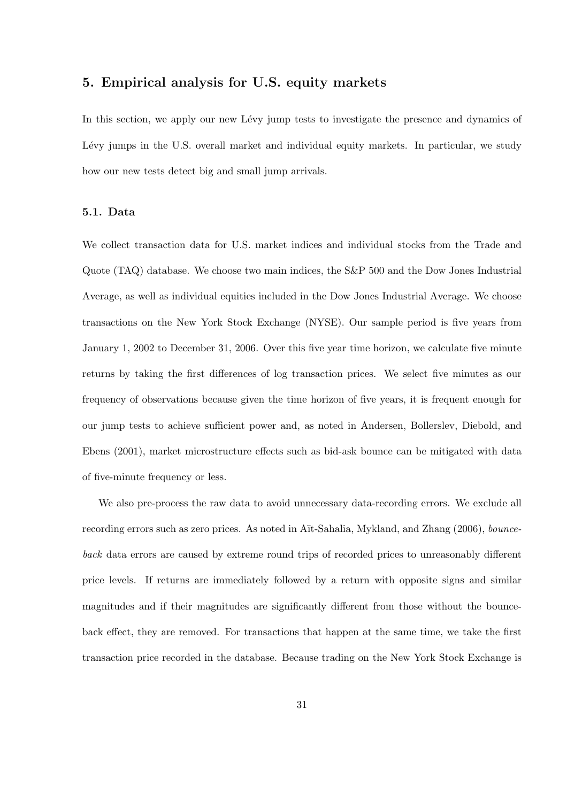# 5. Empirical analysis for U.S. equity markets

In this section, we apply our new Lévy jump tests to investigate the presence and dynamics of Lévy jumps in the U.S. overall market and individual equity markets. In particular, we study how our new tests detect big and small jump arrivals.

### 5.1. Data

We collect transaction data for U.S. market indices and individual stocks from the Trade and Quote (TAQ) database. We choose two main indices, the S&P 500 and the Dow Jones Industrial Average, as well as individual equities included in the Dow Jones Industrial Average. We choose transactions on the New York Stock Exchange (NYSE). Our sample period is five years from January 1, 2002 to December 31, 2006. Over this five year time horizon, we calculate five minute returns by taking the first differences of log transaction prices. We select five minutes as our frequency of observations because given the time horizon of five years, it is frequent enough for our jump tests to achieve sufficient power and, as noted in Andersen, Bollerslev, Diebold, and Ebens (2001), market microstructure effects such as bid-ask bounce can be mitigated with data of five-minute frequency or less.

We also pre-process the raw data to avoid unnecessary data-recording errors. We exclude all recording errors such as zero prices. As noted in Aït-Sahalia, Mykland, and Zhang (2006), bounceback data errors are caused by extreme round trips of recorded prices to unreasonably different price levels. If returns are immediately followed by a return with opposite signs and similar magnitudes and if their magnitudes are significantly different from those without the bounceback effect, they are removed. For transactions that happen at the same time, we take the first transaction price recorded in the database. Because trading on the New York Stock Exchange is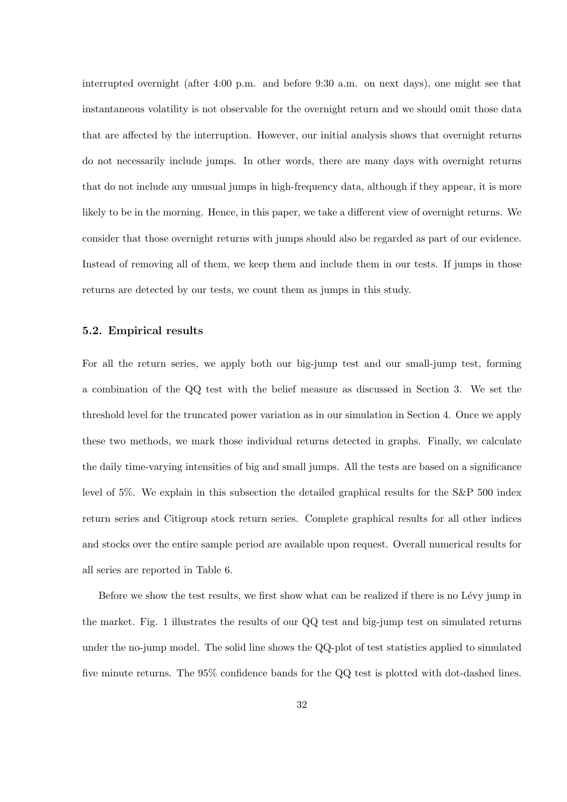interrupted overnight (after 4:00 p.m. and before 9:30 a.m. on next days), one might see that instantaneous volatility is not observable for the overnight return and we should omit those data that are affected by the interruption. However, our initial analysis shows that overnight returns do not necessarily include jumps. In other words, there are many days with overnight returns that do not include any unusual jumps in high-frequency data, although if they appear, it is more likely to be in the morning. Hence, in this paper, we take a different view of overnight returns. We consider that those overnight returns with jumps should also be regarded as part of our evidence. Instead of removing all of them, we keep them and include them in our tests. If jumps in those returns are detected by our tests, we count them as jumps in this study.

#### 5.2. Empirical results

For all the return series, we apply both our big-jump test and our small-jump test, forming a combination of the QQ test with the belief measure as discussed in Section 3. We set the threshold level for the truncated power variation as in our simulation in Section 4. Once we apply these two methods, we mark those individual returns detected in graphs. Finally, we calculate the daily time-varying intensities of big and small jumps. All the tests are based on a significance level of 5%. We explain in this subsection the detailed graphical results for the S&P 500 index return series and Citigroup stock return series. Complete graphical results for all other indices and stocks over the entire sample period are available upon request. Overall numerical results for all series are reported in Table 6.

Before we show the test results, we first show what can be realized if there is no Lévy jump in the market. Fig. 1 illustrates the results of our QQ test and big-jump test on simulated returns under the no-jump model. The solid line shows the QQ-plot of test statistics applied to simulated five minute returns. The 95% confidence bands for the QQ test is plotted with dot-dashed lines.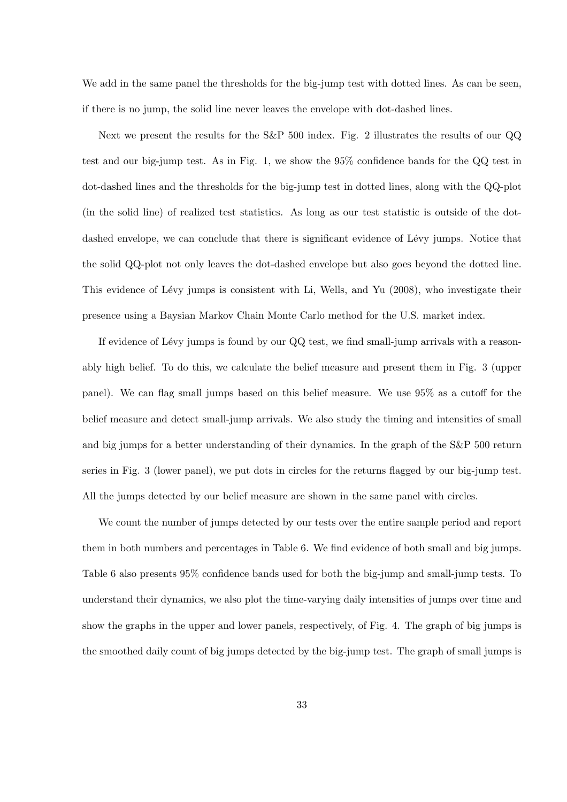We add in the same panel the thresholds for the big-jump test with dotted lines. As can be seen, if there is no jump, the solid line never leaves the envelope with dot-dashed lines.

Next we present the results for the S&P 500 index. Fig. 2 illustrates the results of our QQ test and our big-jump test. As in Fig. 1, we show the 95% confidence bands for the QQ test in dot-dashed lines and the thresholds for the big-jump test in dotted lines, along with the QQ-plot (in the solid line) of realized test statistics. As long as our test statistic is outside of the dotdashed envelope, we can conclude that there is significant evidence of Lévy jumps. Notice that the solid QQ-plot not only leaves the dot-dashed envelope but also goes beyond the dotted line. This evidence of Lévy jumps is consistent with Li, Wells, and Yu (2008), who investigate their presence using a Baysian Markov Chain Monte Carlo method for the U.S. market index.

If evidence of Lévy jumps is found by our QQ test, we find small-jump arrivals with a reasonably high belief. To do this, we calculate the belief measure and present them in Fig. 3 (upper panel). We can flag small jumps based on this belief measure. We use 95% as a cutoff for the belief measure and detect small-jump arrivals. We also study the timing and intensities of small and big jumps for a better understanding of their dynamics. In the graph of the S&P 500 return series in Fig. 3 (lower panel), we put dots in circles for the returns flagged by our big-jump test. All the jumps detected by our belief measure are shown in the same panel with circles.

We count the number of jumps detected by our tests over the entire sample period and report them in both numbers and percentages in Table 6. We find evidence of both small and big jumps. Table 6 also presents 95% confidence bands used for both the big-jump and small-jump tests. To understand their dynamics, we also plot the time-varying daily intensities of jumps over time and show the graphs in the upper and lower panels, respectively, of Fig. 4. The graph of big jumps is the smoothed daily count of big jumps detected by the big-jump test. The graph of small jumps is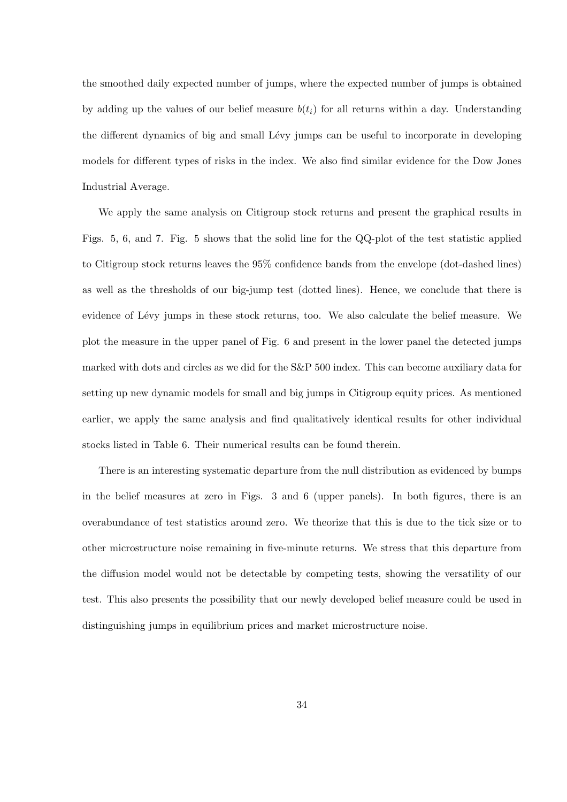the smoothed daily expected number of jumps, where the expected number of jumps is obtained by adding up the values of our belief measure  $b(t_i)$  for all returns within a day. Understanding the different dynamics of big and small Lévy jumps can be useful to incorporate in developing models for different types of risks in the index. We also find similar evidence for the Dow Jones Industrial Average.

We apply the same analysis on Citigroup stock returns and present the graphical results in Figs. 5, 6, and 7. Fig. 5 shows that the solid line for the QQ-plot of the test statistic applied to Citigroup stock returns leaves the 95% confidence bands from the envelope (dot-dashed lines) as well as the thresholds of our big-jump test (dotted lines). Hence, we conclude that there is evidence of Lévy jumps in these stock returns, too. We also calculate the belief measure. We plot the measure in the upper panel of Fig. 6 and present in the lower panel the detected jumps marked with dots and circles as we did for the S&P 500 index. This can become auxiliary data for setting up new dynamic models for small and big jumps in Citigroup equity prices. As mentioned earlier, we apply the same analysis and find qualitatively identical results for other individual stocks listed in Table 6. Their numerical results can be found therein.

There is an interesting systematic departure from the null distribution as evidenced by bumps in the belief measures at zero in Figs. 3 and 6 (upper panels). In both figures, there is an overabundance of test statistics around zero. We theorize that this is due to the tick size or to other microstructure noise remaining in five-minute returns. We stress that this departure from the diffusion model would not be detectable by competing tests, showing the versatility of our test. This also presents the possibility that our newly developed belief measure could be used in distinguishing jumps in equilibrium prices and market microstructure noise.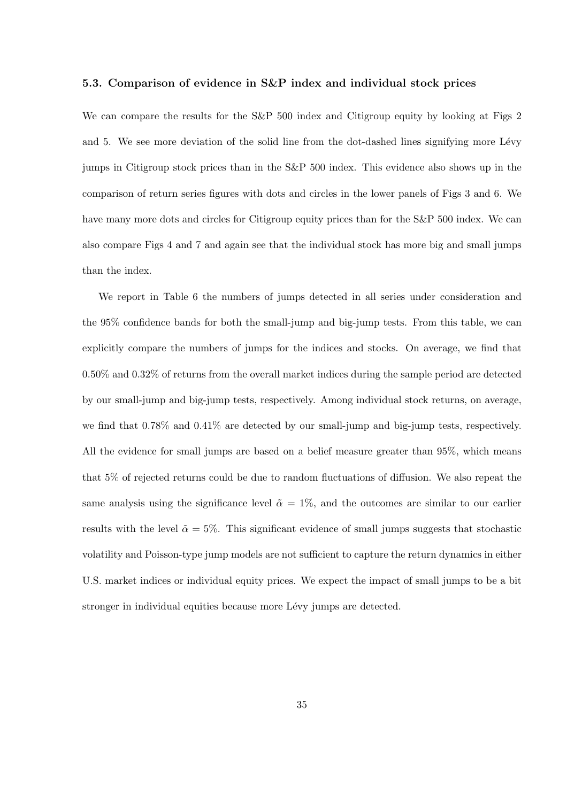#### 5.3. Comparison of evidence in S&P index and individual stock prices

We can compare the results for the S&P 500 index and Citigroup equity by looking at Figs 2 and 5. We see more deviation of the solid line from the dot-dashed lines signifying more Lévy jumps in Citigroup stock prices than in the S&P 500 index. This evidence also shows up in the comparison of return series figures with dots and circles in the lower panels of Figs 3 and 6. We have many more dots and circles for Citigroup equity prices than for the S&P 500 index. We can also compare Figs 4 and 7 and again see that the individual stock has more big and small jumps than the index.

We report in Table 6 the numbers of jumps detected in all series under consideration and the 95% confidence bands for both the small-jump and big-jump tests. From this table, we can explicitly compare the numbers of jumps for the indices and stocks. On average, we find that 0.50% and 0.32% of returns from the overall market indices during the sample period are detected by our small-jump and big-jump tests, respectively. Among individual stock returns, on average, we find that 0.78% and 0.41% are detected by our small-jump and big-jump tests, respectively. All the evidence for small jumps are based on a belief measure greater than 95%, which means that 5% of rejected returns could be due to random fluctuations of diffusion. We also repeat the same analysis using the significance level  $\tilde{\alpha} = 1\%$ , and the outcomes are similar to our earlier results with the level  $\tilde{\alpha} = 5\%$ . This significant evidence of small jumps suggests that stochastic volatility and Poisson-type jump models are not sufficient to capture the return dynamics in either U.S. market indices or individual equity prices. We expect the impact of small jumps to be a bit stronger in individual equities because more Lévy jumps are detected.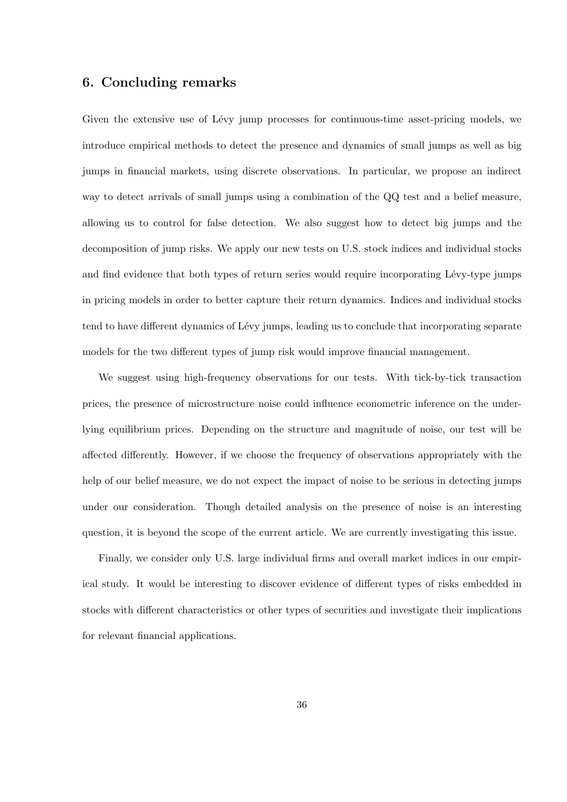# 6. Concluding remarks

Given the extensive use of Lévy jump processes for continuous-time asset-pricing models, we introduce empirical methods to detect the presence and dynamics of small jumps as well as big jumps in financial markets, using discrete observations. In particular, we propose an indirect way to detect arrivals of small jumps using a combination of the QQ test and a belief measure, allowing us to control for false detection. We also suggest how to detect big jumps and the decomposition of jump risks. We apply our new tests on U.S. stock indices and individual stocks and find evidence that both types of return series would require incorporating Lévy-type jumps in pricing models in order to better capture their return dynamics. Indices and individual stocks tend to have different dynamics of Lévy jumps, leading us to conclude that incorporating separate models for the two different types of jump risk would improve financial management.

We suggest using high-frequency observations for our tests. With tick-by-tick transaction prices, the presence of microstructure noise could influence econometric inference on the underlying equilibrium prices. Depending on the structure and magnitude of noise, our test will be affected differently. However, if we choose the frequency of observations appropriately with the help of our belief measure, we do not expect the impact of noise to be serious in detecting jumps under our consideration. Though detailed analysis on the presence of noise is an interesting question, it is beyond the scope of the current article. We are currently investigating this issue.

Finally, we consider only U.S. large individual firms and overall market indices in our empirical study. It would be interesting to discover evidence of different types of risks embedded in stocks with different characteristics or other types of securities and investigate their implications for relevant financial applications.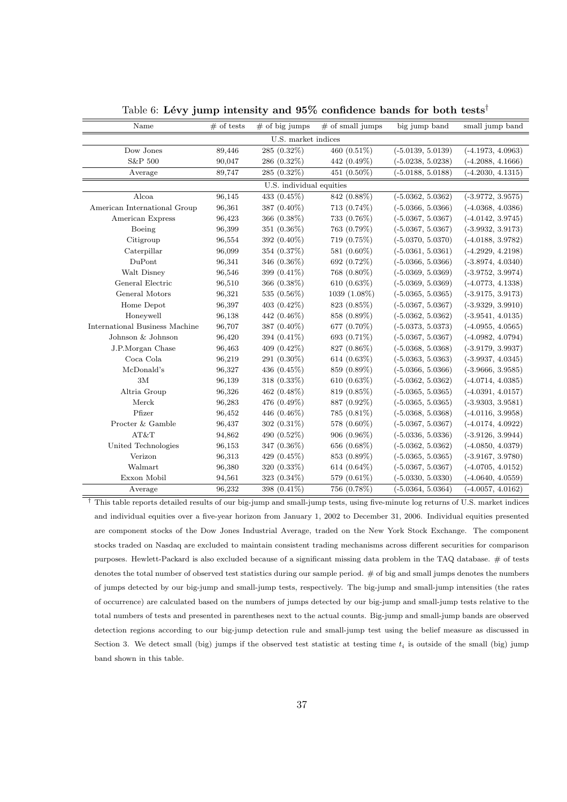| Name                           | $#$ of tests | $#$ of big jumps | $#$ of small jumps | big jump band       | small jump band     |  |  |  |
|--------------------------------|--------------|------------------|--------------------|---------------------|---------------------|--|--|--|
| U.S. market indices            |              |                  |                    |                     |                     |  |  |  |
| Dow Jones                      | 89,446       | 285 (0.32%)      | 460 (0.51%)        | $(-5.0139, 5.0139)$ | $(-4.1973, 4.0963)$ |  |  |  |
| S&P 500                        | 90,047       | 286 (0.32%)      | 442 (0.49%)        | $(-5.0238, 5.0238)$ | $(-4.2088, 4.1666)$ |  |  |  |
| Average                        | 89,747       | 285 (0.32%)      | 451 (0.50%)        | $(-5.0188, 5.0188)$ | $(-4.2030, 4.1315)$ |  |  |  |
| U.S. individual equities       |              |                  |                    |                     |                     |  |  |  |
| Alcoa                          | 96,145       | 433 (0.45%)      | 842 (0.88%)        | $(-5.0362, 5.0362)$ | $(-3.9772, 3.9575)$ |  |  |  |
| American International Group   | 96,361       | 387 (0.40%)      | 713 (0.74%)        | $(-5.0366, 5.0366)$ | $(-4.0368, 4.0386)$ |  |  |  |
| American Express               | 96,423       | 366 (0.38%)      | 733 (0.76%)        | $(-5.0367, 5.0367)$ | $(-4.0142, 3.9745)$ |  |  |  |
| Boeing                         | 96,399       | 351 (0.36%)      | 763 (0.79%)        | $(-5.0367, 5.0367)$ | $(-3.9932, 3.9173)$ |  |  |  |
| Citigroup                      | 96,554       | 392 (0.40%)      | 719 (0.75%)        | $(-5.0370, 5.0370)$ | $(-4.0188, 3.9782)$ |  |  |  |
| Caterpillar                    | 96,099       | 354 (0.37%)      | 581 (0.60%)        | $(-5.0361, 5.0361)$ | $(-4.2929, 4.2198)$ |  |  |  |
| DuPont                         | 96,341       | 346 (0.36%)      | 692 (0.72%)        | $(-5.0366, 5.0366)$ | $(-3.8974, 4.0340)$ |  |  |  |
| Walt Disney                    | 96,546       | 399 (0.41\%)     | 768 (0.80%)        | $(-5.0369, 5.0369)$ | $(-3.9752, 3.9974)$ |  |  |  |
| General Electric               | 96,510       | 366 (0.38%)      | 610 $(0.63\%)$     | $(-5.0369, 5.0369)$ | $(-4.0773, 4.1338)$ |  |  |  |
| General Motors                 | 96,321       | 535 (0.56%)      | 1039 (1.08%)       | $(-5.0365, 5.0365)$ | $(-3.9175, 3.9173)$ |  |  |  |
| Home Depot                     | 96,397       | 403 $(0.42\%)$   | 823 (0.85%)        | $(-5.0367, 5.0367)$ | $(-3.9329, 3.9910)$ |  |  |  |
| Honeywell                      | 96,138       | 442 (0.46%)      | 858 (0.89%)        | $(-5.0362, 5.0362)$ | $(-3.9541, 4.0135)$ |  |  |  |
| International Business Machine | 96,707       | 387 (0.40%)      | 677 (0.70%)        | $(-5.0373, 5.0373)$ | $(-4.0955, 4.0565)$ |  |  |  |
| Johnson & Johnson              | 96,420       | 394 (0.41%)      | 693 (0.71%)        | $(-5.0367, 5.0367)$ | $(-4.0982, 4.0794)$ |  |  |  |
| J.P.Morgan Chase               | 96,463       | $409(0.42\%)$    | 827 (0.86%)        | $(-5.0368, 5.0368)$ | $(-3.9179, 3.9937)$ |  |  |  |
| Coca Cola                      | 96,219       | 291 (0.30%)      | 614 $(0.63\%)$     | $(-5.0363, 5.0363)$ | $(-3.9937, 4.0345)$ |  |  |  |
| McDonald's                     | 96,327       | 436 (0.45%)      | 859 (0.89%)        | $(-5.0366, 5.0366)$ | $(-3.9666, 3.9585)$ |  |  |  |
| $3\mathbf{M}$                  | 96,139       | 318 (0.33%)      | 610 (0.63%)        | $(-5.0362, 5.0362)$ | $(-4.0714, 4.0385)$ |  |  |  |
| Altria Group                   | 96,326       | 462 (0.48%)      | 819 (0.85%)        | $(-5.0365, 5.0365)$ | $(-4.0391, 4.0157)$ |  |  |  |
| Merck                          | 96,283       | 476 (0.49%)      | 887 (0.92%)        | $(-5.0365, 5.0365)$ | $(-3.9303, 3.9581)$ |  |  |  |
| Pfizer                         | 96,452       | 446 (0.46%)      | 785 (0.81%)        | $(-5.0368, 5.0368)$ | $(-4.0116, 3.9958)$ |  |  |  |
| Procter & Gamble               | 96,437       | 302 (0.31%)      | 578 (0.60%)        | $(-5.0367, 5.0367)$ | $(-4.0174, 4.0922)$ |  |  |  |
| AT&T                           | 94,862       | 490 (0.52%)      | 906 (0.96%)        | $(-5.0336, 5.0336)$ | $(-3.9126, 3.9944)$ |  |  |  |
| United Technologies            | 96,153       | 347 (0.36%)      | 656 (0.68%)        | $(-5.0362, 5.0362)$ | $(-4.0850, 4.0379)$ |  |  |  |
| Verizon                        | 96,313       | 429 (0.45%)      | 853 (0.89%)        | $(-5.0365, 5.0365)$ | $(-3.9167, 3.9780)$ |  |  |  |
| Walmart                        | 96,380       | 320 (0.33%)      | 614 (0.64%)        | $(-5.0367, 5.0367)$ | $(-4.0705, 4.0152)$ |  |  |  |
| Exxon Mobil                    | 94,561       | 323 (0.34%)      | 579 (0.61%)        | $(-5.0330, 5.0330)$ | $(-4.0640, 4.0559)$ |  |  |  |
| Average                        | 96,232       | 398 (0.41%)      | 756 (0.78%)        | $(-5.0364, 5.0364)$ | $(-4.0057, 4.0162)$ |  |  |  |

Table 6: Lévy jump intensity and 95% confidence bands for both tests<sup>†</sup>

† This table reports detailed results of our big-jump and small-jump tests, using five-minute log returns of U.S. market indices and individual equities over a five-year horizon from January 1, 2002 to December 31, 2006. Individual equities presented are component stocks of the Dow Jones Industrial Average, traded on the New York Stock Exchange. The component stocks traded on Nasdaq are excluded to maintain consistent trading mechanisms across different securities for comparison purposes. Hewlett-Packard is also excluded because of a significant missing data problem in the TAQ database. # of tests denotes the total number of observed test statistics during our sample period. # of big and small jumps denotes the numbers of jumps detected by our big-jump and small-jump tests, respectively. The big-jump and small-jump intensities (the rates of occurrence) are calculated based on the numbers of jumps detected by our big-jump and small-jump tests relative to the total numbers of tests and presented in parentheses next to the actual counts. Big-jump and small-jump bands are observed detection regions according to our big-jump detection rule and small-jump test using the belief measure as discussed in Section 3. We detect small (big) jumps if the observed test statistic at testing time  $t_i$  is outside of the small (big) jump band shown in this table.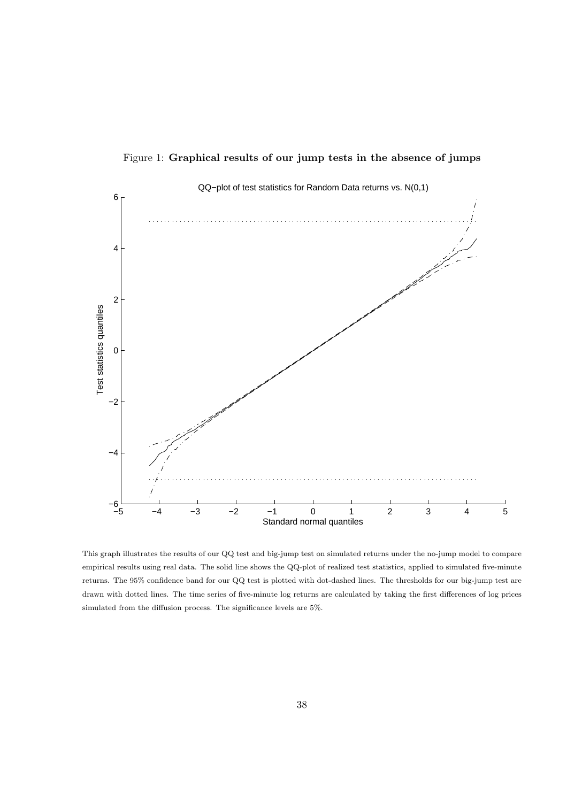

Figure 1: Graphical results of our jump tests in the absence of jumps

This graph illustrates the results of our QQ test and big-jump test on simulated returns under the no-jump model to compare empirical results using real data. The solid line shows the QQ-plot of realized test statistics, applied to simulated five-minute returns. The 95% confidence band for our QQ test is plotted with dot-dashed lines. The thresholds for our big-jump test are drawn with dotted lines. The time series of five-minute log returns are calculated by taking the first differences of log prices simulated from the diffusion process. The significance levels are 5%.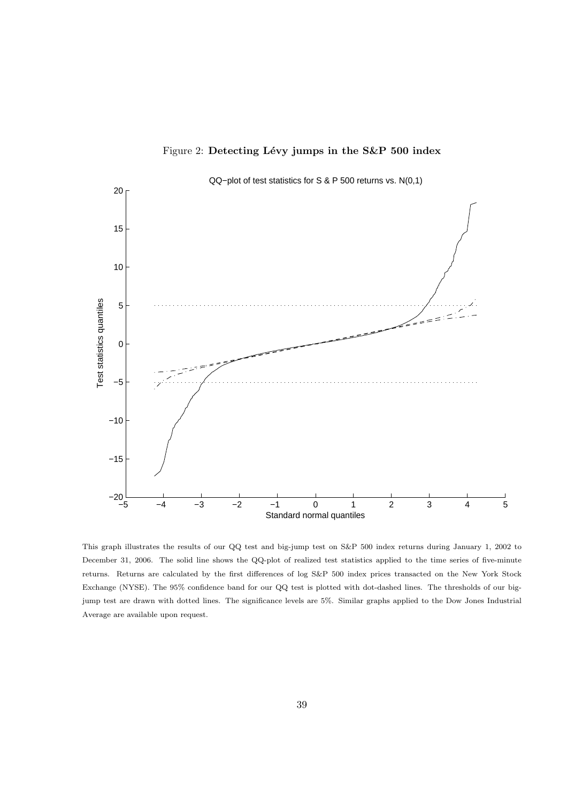

Figure 2: Detecting Lévy jumps in the S&P 500 index

This graph illustrates the results of our QQ test and big-jump test on S&P 500 index returns during January 1, 2002 to December 31, 2006. The solid line shows the QQ-plot of realized test statistics applied to the time series of five-minute returns. Returns are calculated by the first differences of log S&P 500 index prices transacted on the New York Stock Exchange (NYSE). The 95% confidence band for our QQ test is plotted with dot-dashed lines. The thresholds of our bigjump test are drawn with dotted lines. The significance levels are 5%. Similar graphs applied to the Dow Jones Industrial Average are available upon request.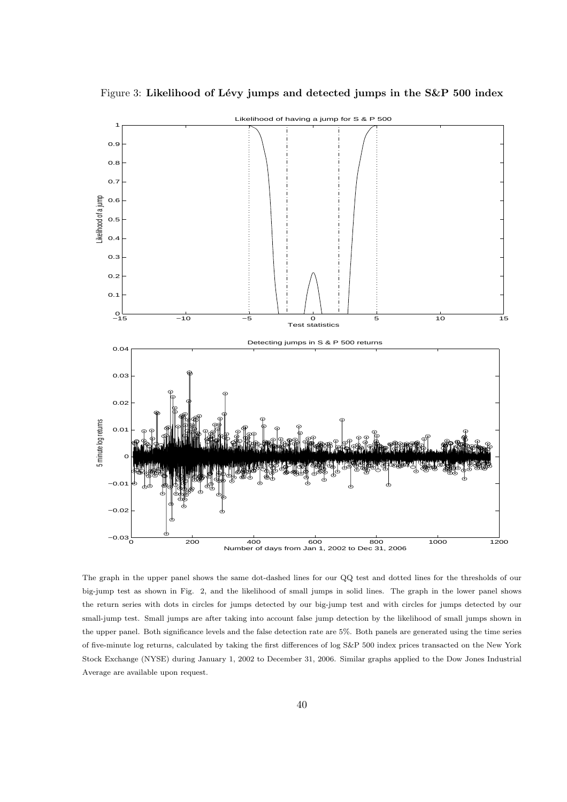

Figure 3: Likelihood of Lévy jumps and detected jumps in the S&P 500 index

The graph in the upper panel shows the same dot-dashed lines for our QQ test and dotted lines for the thresholds of our big-jump test as shown in Fig. 2, and the likelihood of small jumps in solid lines. The graph in the lower panel shows the return series with dots in circles for jumps detected by our big-jump test and with circles for jumps detected by our small-jump test. Small jumps are after taking into account false jump detection by the likelihood of small jumps shown in the upper panel. Both significance levels and the false detection rate are 5%. Both panels are generated using the time series of five-minute log returns, calculated by taking the first differences of log S&P 500 index prices transacted on the New York Stock Exchange (NYSE) during January 1, 2002 to December 31, 2006. Similar graphs applied to the Dow Jones Industrial Average are available upon request.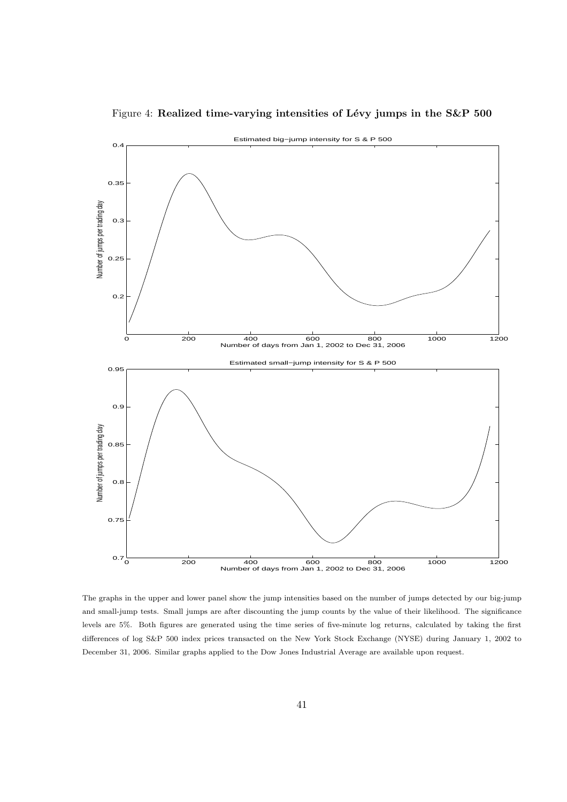

Figure 4: Realized time-varying intensities of Lévy jumps in the S&P 500

The graphs in the upper and lower panel show the jump intensities based on the number of jumps detected by our big-jump and small-jump tests. Small jumps are after discounting the jump counts by the value of their likelihood. The significance levels are 5%. Both figures are generated using the time series of five-minute log returns, calculated by taking the first differences of log S&P 500 index prices transacted on the New York Stock Exchange (NYSE) during January 1, 2002 to December 31, 2006. Similar graphs applied to the Dow Jones Industrial Average are available upon request.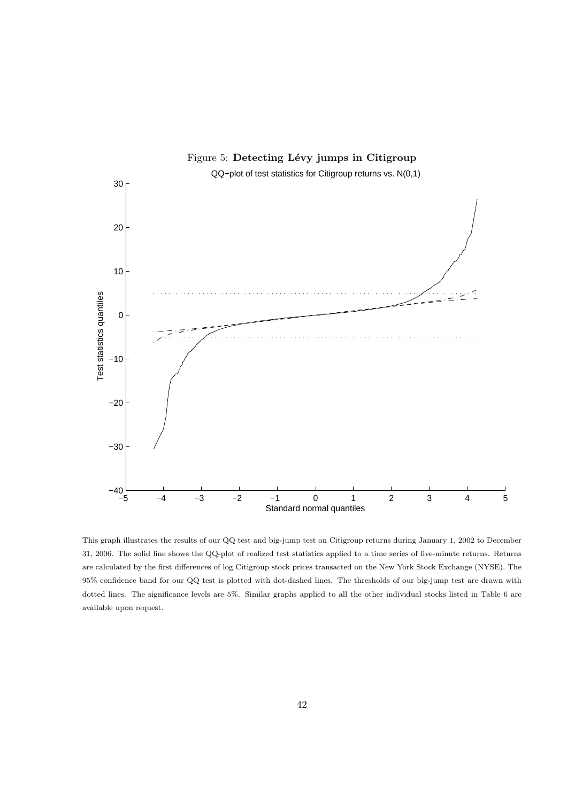

This graph illustrates the results of our QQ test and big-jump test on Citigroup returns during January 1, 2002 to December 31, 2006. The solid line shows the QQ-plot of realized test statistics applied to a time series of five-minute returns. Returns are calculated by the first differences of log Citigroup stock prices transacted on the New York Stock Exchange (NYSE). The 95% confidence band for our QQ test is plotted with dot-dashed lines. The thresholds of our big-jump test are drawn with dotted lines. The significance levels are 5%. Similar graphs applied to all the other individual stocks listed in Table 6 are available upon request.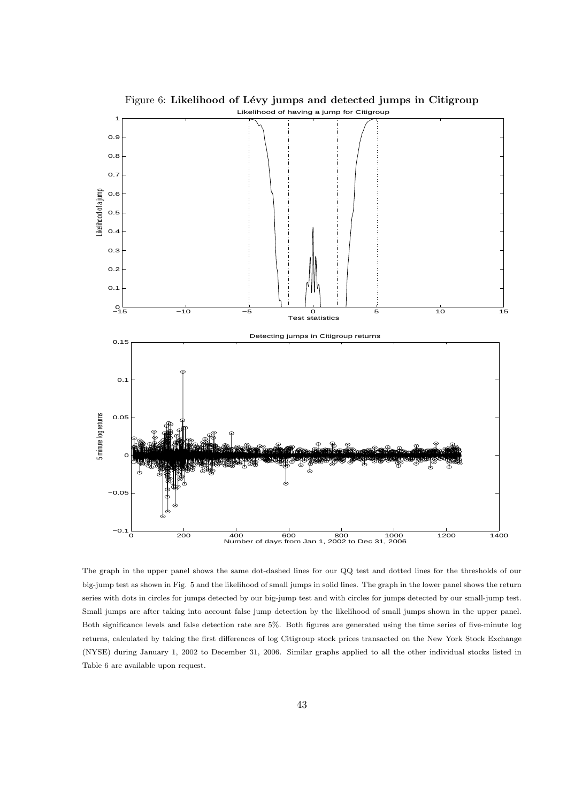

Figure 6: Likelihood of Lévy jumps and detected jumps in Citigroup

The graph in the upper panel shows the same dot-dashed lines for our QQ test and dotted lines for the thresholds of our big-jump test as shown in Fig. 5 and the likelihood of small jumps in solid lines. The graph in the lower panel shows the return series with dots in circles for jumps detected by our big-jump test and with circles for jumps detected by our small-jump test. Small jumps are after taking into account false jump detection by the likelihood of small jumps shown in the upper panel. Both significance levels and false detection rate are 5%. Both figures are generated using the time series of five-minute log returns, calculated by taking the first differences of log Citigroup stock prices transacted on the New York Stock Exchange (NYSE) during January 1, 2002 to December 31, 2006. Similar graphs applied to all the other individual stocks listed in Table 6 are available upon request.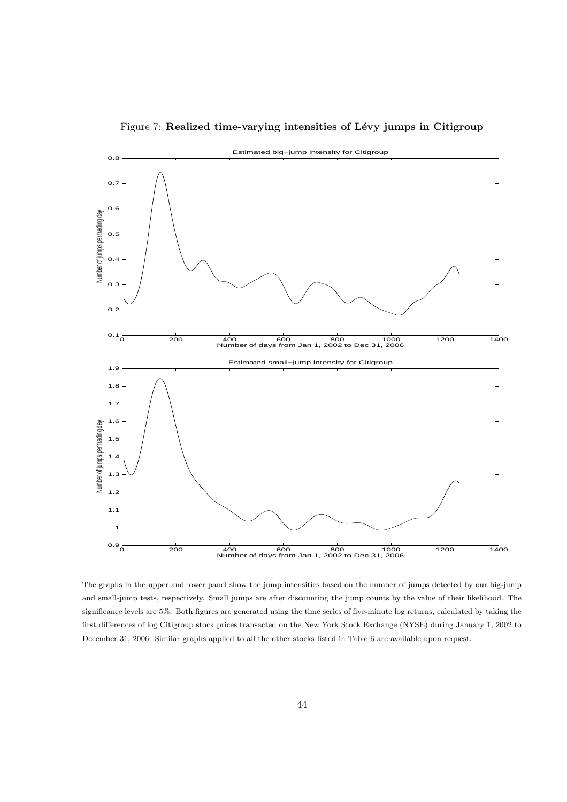



The graphs in the upper and lower panel show the jump intensities based on the number of jumps detected by our big-jump and small-jump tests, respectively. Small jumps are after discounting the jump counts by the value of their likelihood. The significance levels are 5%. Both figures are generated using the time series of five-minute log returns, calculated by taking the first differences of log Citigroup stock prices transacted on the New York Stock Exchange (NYSE) during January 1, 2002 to December 31, 2006. Similar graphs applied to all the other stocks listed in Table 6 are available upon request.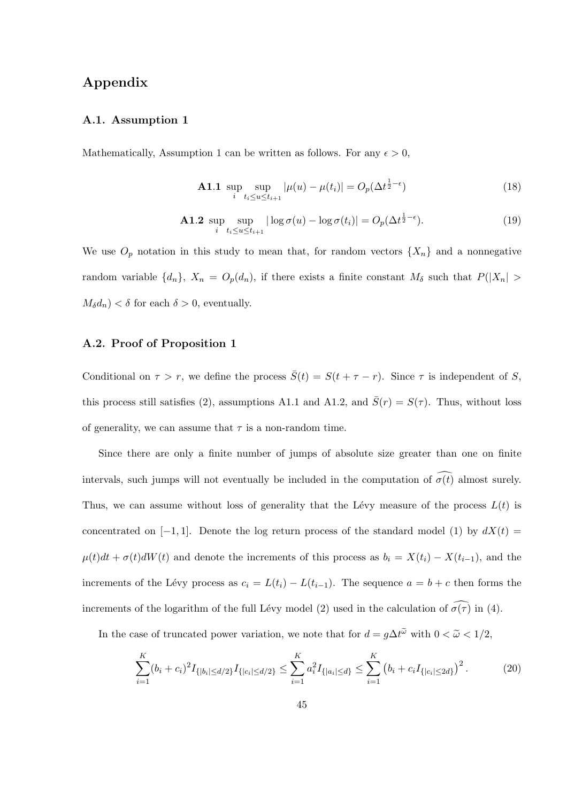# Appendix

#### A.1. Assumption 1

Mathematically, Assumption 1 can be written as follows. For any  $\epsilon > 0$ ,

**A1.1** sup 
$$
\sup_{i} \sup_{t_i \le u \le t_{i+1}} |\mu(u) - \mu(t_i)| = O_p(\Delta t^{\frac{1}{2} - \epsilon})
$$
 (18)

**A1.2** sup sup 
$$
\sup_{i} |\log \sigma(u) - \log \sigma(t_i)| = O_p(\Delta t^{\frac{1}{2} - \epsilon}).
$$
 (19)

We use  $O_p$  notation in this study to mean that, for random vectors  $\{X_n\}$  and a nonnegative random variable  $\{d_n\}$ ,  $X_n = O_p(d_n)$ , if there exists a finite constant  $M_\delta$  such that  $P(|X_n| >$  $M_{\delta}d_n$ ) <  $\delta$  for each  $\delta > 0$ , eventually.

### A.2. Proof of Proposition 1

Conditional on  $\tau > r$ , we define the process  $\bar{S}(t) = S(t + \tau - r)$ . Since  $\tau$  is independent of S, this process still satisfies (2), assumptions A1.1 and A1.2, and  $\bar{S}(r) = S(\tau)$ . Thus, without loss of generality, we can assume that  $\tau$  is a non-random time.

Since there are only a finite number of jumps of absolute size greater than one on finite intervals, such jumps will not eventually be included in the computation of  $\widehat{\sigma(t)}$  almost surely. Thus, we can assume without loss of generality that the Lévy measure of the process  $L(t)$  is concentrated on  $[-1, 1]$ . Denote the log return process of the standard model (1) by  $dX(t) =$  $\mu(t)dt + \sigma(t)dW(t)$  and denote the increments of this process as  $b_i = X(t_i) - X(t_{i-1})$ , and the increments of the Lévy process as  $c_i = L(t_i) - L(t_{i-1})$ . The sequence  $a = b + c$  then forms the increments of the logarithm of the full Lévy model (2) used in the calculation of  $\widehat{\sigma(\tau)}$  in (4).

In the case of truncated power variation, we note that for  $d = g\Delta t^{\tilde{\omega}}$  with  $0 < \tilde{\omega} < 1/2$ ,

$$
\sum_{i=1}^{K} (b_i + c_i)^2 I_{\{|b_i| \le d/2\}} I_{\{|c_i| \le d/2\}} \le \sum_{i=1}^{K} a_i^2 I_{\{|a_i| \le d\}} \le \sum_{i=1}^{K} (b_i + c_i I_{\{|c_i| \le 2d\}})^2.
$$
 (20)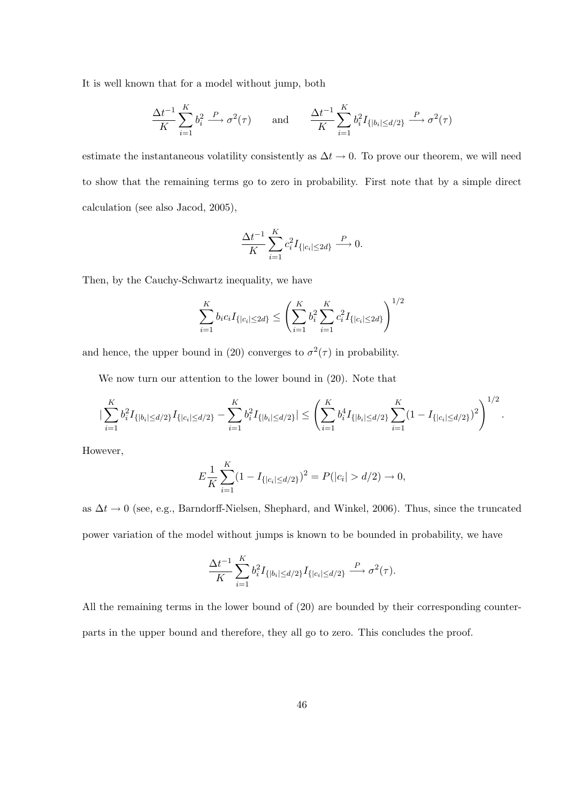It is well known that for a model without jump, both

$$
\frac{\Delta t^{-1}}{K} \sum_{i=1}^{K} b_i^2 \xrightarrow{P} \sigma^2(\tau) \quad \text{and} \quad \frac{\Delta t^{-1}}{K} \sum_{i=1}^{K} b_i^2 I_{\{|b_i| \le d/2\}} \xrightarrow{P} \sigma^2(\tau)
$$

estimate the instantaneous volatility consistently as  $\Delta t \to 0$ . To prove our theorem, we will need to show that the remaining terms go to zero in probability. First note that by a simple direct calculation (see also Jacod, 2005),

$$
\frac{\Delta t^{-1}}{K} \sum_{i=1}^{K} c_i^2 I_{\{|c_i| \le 2d\}} \xrightarrow{P} 0.
$$

Then, by the Cauchy-Schwartz inequality, we have

$$
\sum_{i=1}^{K} b_i c_i I_{\{|c_i| \le 2d\}} \le \left(\sum_{i=1}^{K} b_i^2 \sum_{i=1}^{K} c_i^2 I_{\{|c_i| \le 2d\}}\right)^{1/2}
$$

and hence, the upper bound in (20) converges to  $\sigma^2(\tau)$  in probability.

We now turn our attention to the lower bound in (20). Note that

$$
|\sum_{i=1}^K b_i^2 I_{\{|b_i|\leq d/2\}}I_{\{|c_i|\leq d/2\}} - \sum_{i=1}^K b_i^2 I_{\{|b_i|\leq d/2\}}| \leq \left(\sum_{i=1}^K b_i^4 I_{\{|b_i|\leq d/2\}}\sum_{i=1}^K (1 - I_{\{|c_i|\leq d/2\}})^2\right)^{1/2}
$$

.

However,

$$
E\frac{1}{K}\sum_{i=1}^{K}(1-I_{\{|c_i|\leq d/2\}})^2 = P(|c_i| > d/2) \to 0,
$$

as  $\Delta t \rightarrow 0$  (see, e.g., Barndorff-Nielsen, Shephard, and Winkel, 2006). Thus, since the truncated power variation of the model without jumps is known to be bounded in probability, we have

$$
\frac{\Delta t^{-1}}{K} \sum_{i=1}^{K} b_i^2 I_{\{|b_i| \le d/2\}} I_{\{|c_i| \le d/2\}} \xrightarrow{P} \sigma^2(\tau).
$$

All the remaining terms in the lower bound of (20) are bounded by their corresponding counterparts in the upper bound and therefore, they all go to zero. This concludes the proof.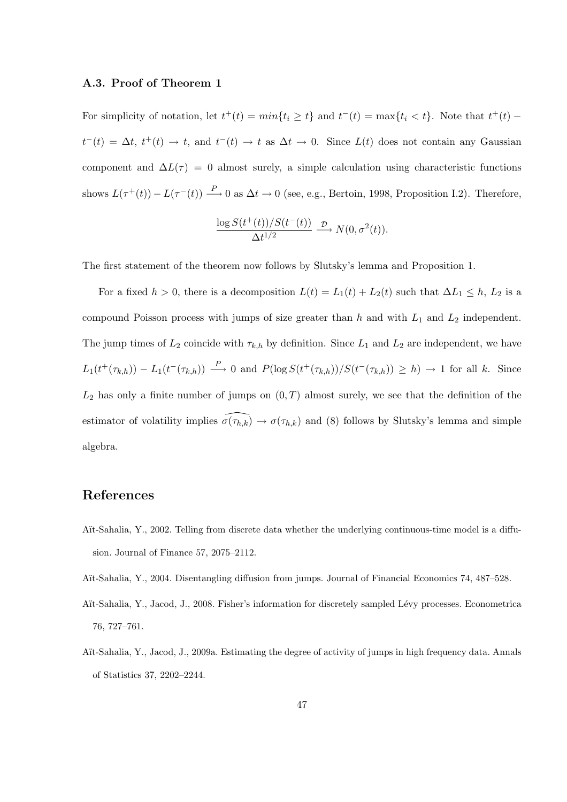#### A.3. Proof of Theorem 1

For simplicity of notation, let  $t^+(t) = min\{t_i \geq t\}$  and  $t^-(t) = max\{t_i < t\}$ . Note that  $t^+(t)$  $t^-(t) = \Delta t$ ,  $t^+(t) \to t$ , and  $t^-(t) \to t$  as  $\Delta t \to 0$ . Since  $L(t)$  does not contain any Gaussian component and  $\Delta L(\tau) = 0$  almost surely, a simple calculation using characteristic functions shows  $L(\tau^+(t)) - L(\tau^-(t)) \stackrel{P}{\longrightarrow} 0$  as  $\Delta t \to 0$  (see, e.g., Bertoin, 1998, Proposition I.2). Therefore,

$$
\frac{\log S(t^+(t))/S(t^-(t))}{\Delta t^{1/2}} \xrightarrow{\mathcal{D}} N(0, \sigma^2(t)).
$$

The first statement of the theorem now follows by Slutsky's lemma and Proposition 1.

For a fixed  $h > 0$ , there is a decomposition  $L(t) = L_1(t) + L_2(t)$  such that  $\Delta L_1 \leq h$ ,  $L_2$  is a compound Poisson process with jumps of size greater than  $h$  and with  $L_1$  and  $L_2$  independent. The jump times of  $L_2$  coincide with  $\tau_{k,h}$  by definition. Since  $L_1$  and  $L_2$  are independent, we have  $L_1(t^+(\tau_{k,h})) - L_1(t^-(\tau_{k,h})) \stackrel{P}{\longrightarrow} 0$  and  $P(\log S(t^+(\tau_{k,h}))/S(t^-(\tau_{k,h})) \geq h) \longrightarrow 1$  for all k. Since  $L_2$  has only a finite number of jumps on  $(0, T)$  almost surely, we see that the definition of the estimator of volatility implies  $\widehat{\sigma(\tau_{h,k})} \to \sigma(\tau_{h,k})$  and (8) follows by Slutsky's lemma and simple algebra.

# References

- Aït-Sahalia, Y., 2002. Telling from discrete data whether the underlying continuous-time model is a diffusion. Journal of Finance 57, 2075–2112.
- Aït-Sahalia, Y., 2004. Disentangling diffusion from jumps. Journal of Financial Economics 74, 487–528.
- Aït-Sahalia, Y., Jacod, J., 2008. Fisher's information for discretely sampled Lévy processes. Econometrica 76, 727–761.
- A¨ıt-Sahalia, Y., Jacod, J., 2009a. Estimating the degree of activity of jumps in high frequency data. Annals of Statistics 37, 2202–2244.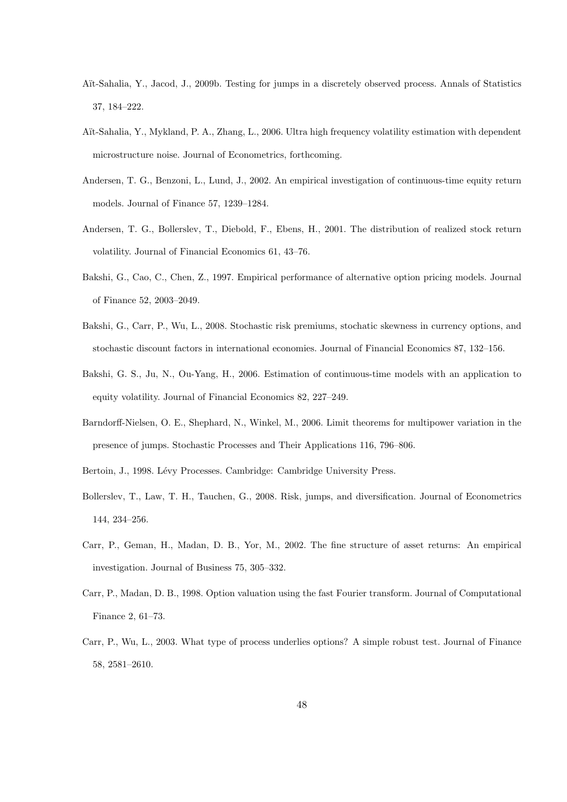- Aït-Sahalia, Y., Jacod, J., 2009b. Testing for jumps in a discretely observed process. Annals of Statistics 37, 184–222.
- A¨ıt-Sahalia, Y., Mykland, P. A., Zhang, L., 2006. Ultra high frequency volatility estimation with dependent microstructure noise. Journal of Econometrics, forthcoming.
- Andersen, T. G., Benzoni, L., Lund, J., 2002. An empirical investigation of continuous-time equity return models. Journal of Finance 57, 1239–1284.
- Andersen, T. G., Bollerslev, T., Diebold, F., Ebens, H., 2001. The distribution of realized stock return volatility. Journal of Financial Economics 61, 43–76.
- Bakshi, G., Cao, C., Chen, Z., 1997. Empirical performance of alternative option pricing models. Journal of Finance 52, 2003–2049.
- Bakshi, G., Carr, P., Wu, L., 2008. Stochastic risk premiums, stochatic skewness in currency options, and stochastic discount factors in international economies. Journal of Financial Economics 87, 132–156.
- Bakshi, G. S., Ju, N., Ou-Yang, H., 2006. Estimation of continuous-time models with an application to equity volatility. Journal of Financial Economics 82, 227–249.
- Barndorff-Nielsen, O. E., Shephard, N., Winkel, M., 2006. Limit theorems for multipower variation in the presence of jumps. Stochastic Processes and Their Applications 116, 796–806.
- Bertoin, J., 1998. Lévy Processes. Cambridge: Cambridge University Press.
- Bollerslev, T., Law, T. H., Tauchen, G., 2008. Risk, jumps, and diversification. Journal of Econometrics 144, 234–256.
- Carr, P., Geman, H., Madan, D. B., Yor, M., 2002. The fine structure of asset returns: An empirical investigation. Journal of Business 75, 305–332.
- Carr, P., Madan, D. B., 1998. Option valuation using the fast Fourier transform. Journal of Computational Finance 2, 61–73.
- Carr, P., Wu, L., 2003. What type of process underlies options? A simple robust test. Journal of Finance 58, 2581–2610.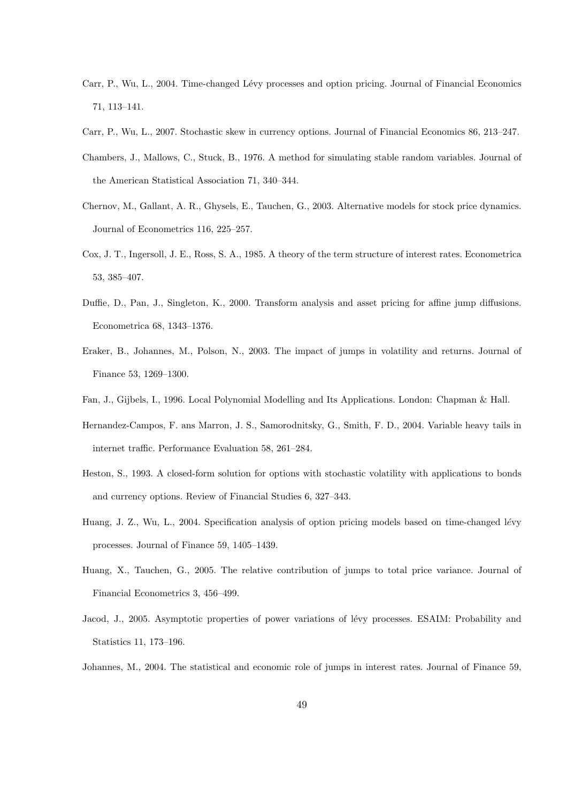- Carr, P., Wu, L., 2004. Time-changed Lévy processes and option pricing. Journal of Financial Economics 71, 113–141.
- Carr, P., Wu, L., 2007. Stochastic skew in currency options. Journal of Financial Economics 86, 213–247.
- Chambers, J., Mallows, C., Stuck, B., 1976. A method for simulating stable random variables. Journal of the American Statistical Association 71, 340–344.
- Chernov, M., Gallant, A. R., Ghysels, E., Tauchen, G., 2003. Alternative models for stock price dynamics. Journal of Econometrics 116, 225–257.
- Cox, J. T., Ingersoll, J. E., Ross, S. A., 1985. A theory of the term structure of interest rates. Econometrica 53, 385–407.
- Duffie, D., Pan, J., Singleton, K., 2000. Transform analysis and asset pricing for affine jump diffusions. Econometrica 68, 1343–1376.
- Eraker, B., Johannes, M., Polson, N., 2003. The impact of jumps in volatility and returns. Journal of Finance 53, 1269–1300.
- Fan, J., Gijbels, I., 1996. Local Polynomial Modelling and Its Applications. London: Chapman & Hall.
- Hernandez-Campos, F. ans Marron, J. S., Samorodnitsky, G., Smith, F. D., 2004. Variable heavy tails in internet traffic. Performance Evaluation 58, 261–284.
- Heston, S., 1993. A closed-form solution for options with stochastic volatility with applications to bonds and currency options. Review of Financial Studies 6, 327–343.
- Huang, J. Z., Wu, L., 2004. Specification analysis of option pricing models based on time-changed lévy processes. Journal of Finance 59, 1405–1439.
- Huang, X., Tauchen, G., 2005. The relative contribution of jumps to total price variance. Journal of Financial Econometrics 3, 456–499.
- Jacod, J., 2005. Asymptotic properties of power variations of lévy processes. ESAIM: Probability and Statistics 11, 173–196.
- Johannes, M., 2004. The statistical and economic role of jumps in interest rates. Journal of Finance 59,